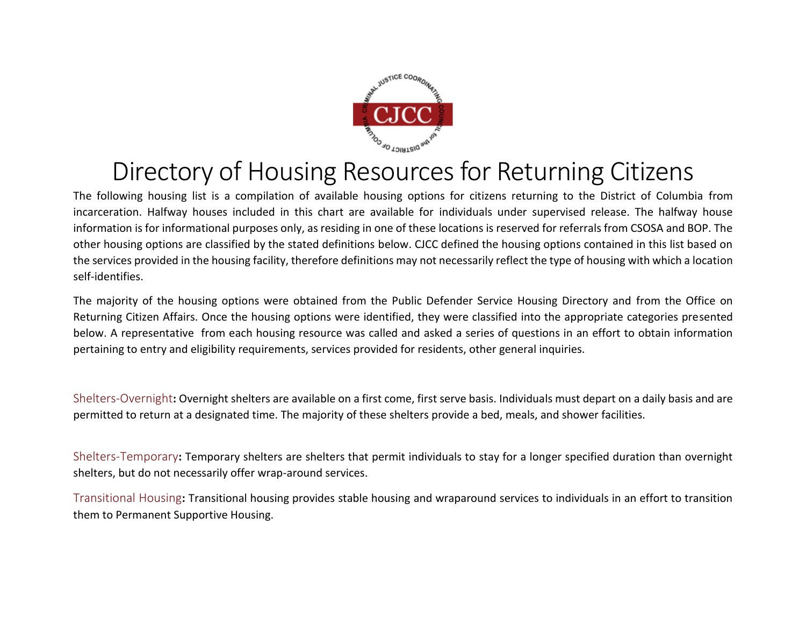

## Directory of Housing Resources for Returning Citizens

The following housing list is a compilation of available housing options for citizens returning to the District of Columbia from incarceration. Halfway houses included in this chart are available for individuals under supervised release. The halfway house information is for informational purposes only, as residing in one of these locations is reserved for referrals from CSOSA and BOP. The other housing options are classified by the stated definitions below. CJCC defined the housing options contained in this list based on the services provided in the housing facility, therefore definitions may not necessarily reflect the type of housing with which a location self-identifies.

The majority of the housing options were obtained from the Public Defender Service Housing Directory and from the Office on Returning Citizen Affairs. Once the housing options were identified, they were classified into the appropriate categories presented below. A representative from each housing resource was called and asked a series of questions in an effort to obtain information pertaining to entry and eligibility requirements, services provided for residents, other general inquiries.

Shelters-Overnight**:** Overnight shelters are available on a first come, first serve basis. Individuals must depart on a daily basis and are permitted to return at a designated time. The majority of these shelters provide a bed, meals, and shower facilities.

Shelters-Temporary**:** Temporary shelters are shelters that permit individuals to stay for a longer specified duration than overnight shelters, but do not necessarily offer wrap-around services.

Transitional Housing**:** Transitional housing provides stable housing and wraparound services to individuals in an effort to transition them to Permanent Supportive Housing.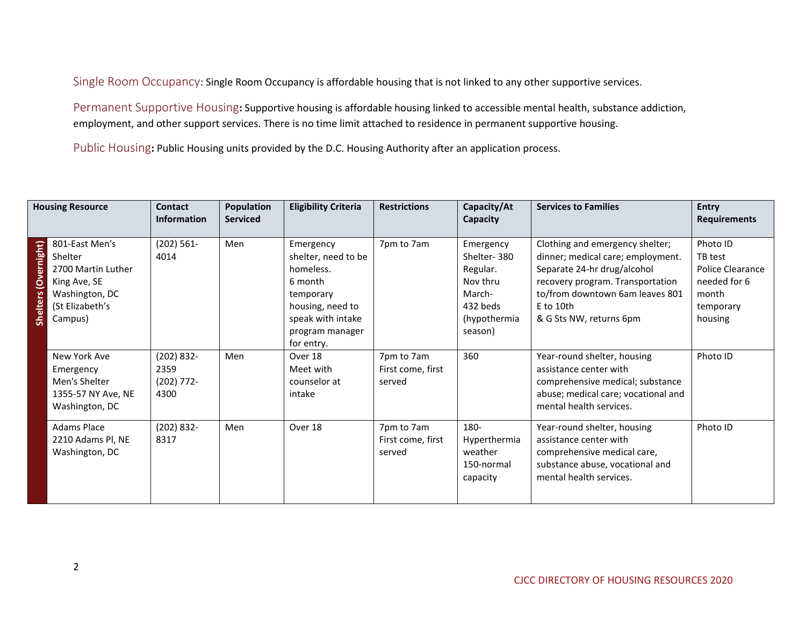Single Room Occupancy: Single Room Occupancy is affordable housing that is not linked to any other supportive services.

Permanent Supportive Housing**:** Supportive housing is affordable housing linked to accessible mental health, substance addiction, employment, and other support services. There is no time limit attached to residence in permanent supportive housing.

Public Housing**:** Public Housing units provided by the D.C. Housing Authority after an application process.

|                      | <b>Housing Resource</b>                                                                                         | <b>Contact</b><br><b>Information</b>        | <b>Population</b><br><b>Serviced</b> | <b>Eligibility Criteria</b>                                                                                                                     | <b>Restrictions</b>                       | Capacity/At<br>Capacity                                                                           | <b>Services to Families</b>                                                                                                                                                                                          | <b>Entry</b><br><b>Requirements</b>                                                      |
|----------------------|-----------------------------------------------------------------------------------------------------------------|---------------------------------------------|--------------------------------------|-------------------------------------------------------------------------------------------------------------------------------------------------|-------------------------------------------|---------------------------------------------------------------------------------------------------|----------------------------------------------------------------------------------------------------------------------------------------------------------------------------------------------------------------------|------------------------------------------------------------------------------------------|
| Shelters (Overnight) | 801-East Men's<br>Shelter<br>2700 Martin Luther<br>King Ave, SE<br>Washington, DC<br>(St Elizabeth's<br>Campus) | (202) 561-<br>4014                          | Men                                  | Emergency<br>shelter, need to be<br>homeless.<br>6 month<br>temporary<br>housing, need to<br>speak with intake<br>program manager<br>for entry. | 7pm to 7am                                | Emergency<br>Shelter-380<br>Regular.<br>Nov thru<br>March-<br>432 beds<br>(hypothermia<br>season) | Clothing and emergency shelter;<br>dinner; medical care; employment.<br>Separate 24-hr drug/alcohol<br>recovery program. Transportation<br>to/from downtown 6am leaves 801<br>$E$ to 10th<br>& G Sts NW, returns 6pm | Photo ID<br>TB test<br>Police Clearance<br>needed for 6<br>month<br>temporary<br>housing |
|                      | New York Ave<br>Emergency<br>Men's Shelter<br>1355-57 NY Ave, NE<br>Washington, DC                              | (202) 832-<br>2359<br>$(202) 772 -$<br>4300 | Men                                  | Over 18<br>Meet with<br>counselor at<br>intake                                                                                                  | 7pm to 7am<br>First come, first<br>served | 360                                                                                               | Year-round shelter, housing<br>assistance center with<br>comprehensive medical; substance<br>abuse; medical care; vocational and<br>mental health services.                                                          | Photo ID                                                                                 |
|                      | <b>Adams Place</b><br>2210 Adams Pl, NE<br>Washington, DC                                                       | $(202) 832 -$<br>8317                       | Men                                  | Over 18                                                                                                                                         | 7pm to 7am<br>First come, first<br>served | 180-<br>Hyperthermia<br>weather<br>150-normal<br>capacity                                         | Year-round shelter, housing<br>assistance center with<br>comprehensive medical care,<br>substance abuse, vocational and<br>mental health services.                                                                   | Photo ID                                                                                 |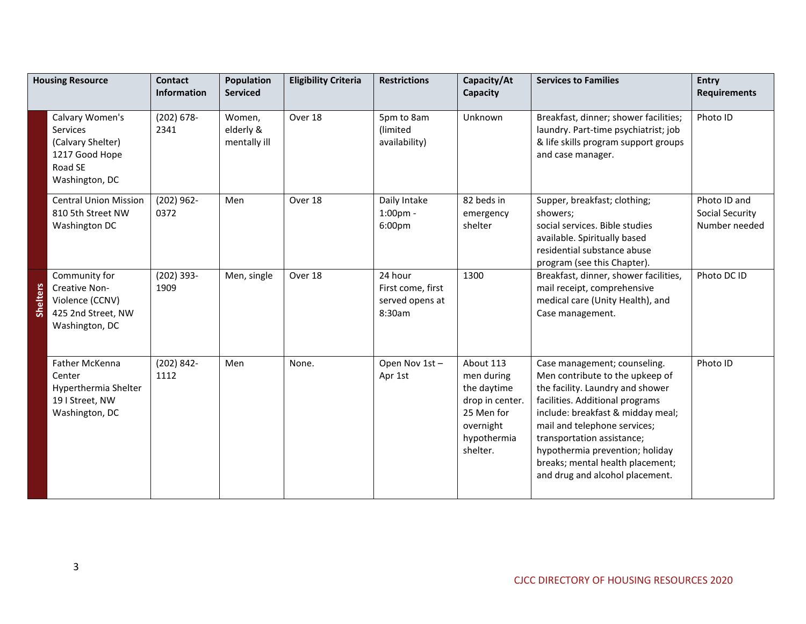| <b>Housing Resource</b> |                                                                                                 | <b>Contact</b><br><b>Information</b> | <b>Population</b><br><b>Serviced</b> | <b>Eligibility Criteria</b> | <b>Restrictions</b>                                       | Capacity/At<br>Capacity                                                                                         | <b>Services to Families</b>                                                                                                                                                                                                                                                                                                                         | <b>Entry</b><br><b>Requirements</b>              |
|-------------------------|-------------------------------------------------------------------------------------------------|--------------------------------------|--------------------------------------|-----------------------------|-----------------------------------------------------------|-----------------------------------------------------------------------------------------------------------------|-----------------------------------------------------------------------------------------------------------------------------------------------------------------------------------------------------------------------------------------------------------------------------------------------------------------------------------------------------|--------------------------------------------------|
|                         | Calvary Women's<br>Services<br>(Calvary Shelter)<br>1217 Good Hope<br>Road SE<br>Washington, DC | $(202) 678 -$<br>2341                | Women,<br>elderly &<br>mentally ill  | Over 18                     | 5pm to 8am<br>(limited<br>availability)                   | Unknown                                                                                                         | Breakfast, dinner; shower facilities;<br>laundry. Part-time psychiatrist; job<br>& life skills program support groups<br>and case manager.                                                                                                                                                                                                          | Photo ID                                         |
|                         | <b>Central Union Mission</b><br>810 5th Street NW<br>Washington DC                              | $(202)$ 962-<br>0372                 | Men                                  | Over 18                     | Daily Intake<br>$1:00pm -$<br>6:00pm                      | 82 beds in<br>emergency<br>shelter                                                                              | Supper, breakfast; clothing;<br>showers;<br>social services. Bible studies<br>available. Spiritually based<br>residential substance abuse<br>program (see this Chapter).                                                                                                                                                                            | Photo ID and<br>Social Security<br>Number needed |
| <b>Shelters</b>         | Community for<br>Creative Non-<br>Violence (CCNV)<br>425 2nd Street, NW<br>Washington, DC       | $(202)$ 393-<br>1909                 | Men, single                          | Over 18                     | 24 hour<br>First come, first<br>served opens at<br>8:30am | 1300                                                                                                            | Breakfast, dinner, shower facilities,<br>mail receipt, comprehensive<br>medical care (Unity Health), and<br>Case management.                                                                                                                                                                                                                        | Photo DC ID                                      |
|                         | <b>Father McKenna</b><br>Center<br>Hyperthermia Shelter<br>19   Street, NW<br>Washington, DC    | $(202) 842 -$<br>1112                | Men                                  | None.                       | Open Nov 1st-<br>Apr 1st                                  | About 113<br>men during<br>the daytime<br>drop in center.<br>25 Men for<br>overnight<br>hypothermia<br>shelter. | Case management; counseling.<br>Men contribute to the upkeep of<br>the facility. Laundry and shower<br>facilities. Additional programs<br>include: breakfast & midday meal;<br>mail and telephone services;<br>transportation assistance;<br>hypothermia prevention; holiday<br>breaks; mental health placement;<br>and drug and alcohol placement. | Photo ID                                         |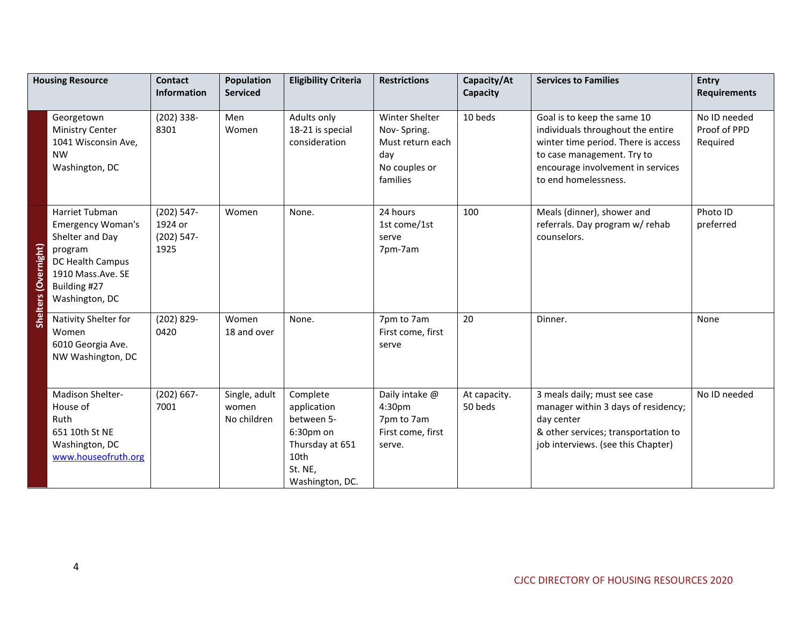|                             | <b>Housing Resource</b>                                                                                                                             | <b>Contact</b><br><b>Information</b>             | <b>Population</b><br><b>Serviced</b>  | <b>Eligibility Criteria</b>                                                                                 | <b>Restrictions</b>                                                                          | Capacity/At<br>Capacity | <b>Services to Families</b>                                                                                                                                                                        | <b>Entry</b><br><b>Requirements</b>      |
|-----------------------------|-----------------------------------------------------------------------------------------------------------------------------------------------------|--------------------------------------------------|---------------------------------------|-------------------------------------------------------------------------------------------------------------|----------------------------------------------------------------------------------------------|-------------------------|----------------------------------------------------------------------------------------------------------------------------------------------------------------------------------------------------|------------------------------------------|
|                             | Georgetown<br><b>Ministry Center</b><br>1041 Wisconsin Ave,<br><b>NW</b><br>Washington, DC                                                          | $(202)$ 338-<br>8301                             | Men<br>Women                          | Adults only<br>18-21 is special<br>consideration                                                            | <b>Winter Shelter</b><br>Nov-Spring.<br>Must return each<br>day<br>No couples or<br>families | 10 beds                 | Goal is to keep the same 10<br>individuals throughout the entire<br>winter time period. There is access<br>to case management. Try to<br>encourage involvement in services<br>to end homelessness. | No ID needed<br>Proof of PPD<br>Required |
| <b>Shelters (Overnight)</b> | Harriet Tubman<br><b>Emergency Woman's</b><br>Shelter and Day<br>program<br>DC Health Campus<br>1910 Mass.Ave. SE<br>Building #27<br>Washington, DC | $(202)$ 547-<br>1924 or<br>$(202) 547 -$<br>1925 | Women                                 | None.                                                                                                       | 24 hours<br>1st come/1st<br>serve<br>7pm-7am                                                 | 100                     | Meals (dinner), shower and<br>referrals. Day program w/ rehab<br>counselors.                                                                                                                       | Photo ID<br>preferred                    |
|                             | Nativity Shelter for<br>Women<br>6010 Georgia Ave.<br>NW Washington, DC                                                                             | $(202) 829 -$<br>0420                            | Women<br>18 and over                  | None.                                                                                                       | 7pm to 7am<br>First come, first<br>serve                                                     | 20                      | Dinner.                                                                                                                                                                                            | None                                     |
|                             | Madison Shelter-<br>House of<br>Ruth<br>651 10th St NE<br>Washington, DC<br>www.houseofruth.org                                                     | $(202) 667 -$<br>7001                            | Single, adult<br>women<br>No children | Complete<br>application<br>between 5-<br>6:30pm on<br>Thursday at 651<br>10th<br>St. NE,<br>Washington, DC. | Daily intake @<br>4:30pm<br>7pm to 7am<br>First come, first<br>serve.                        | At capacity.<br>50 beds | 3 meals daily; must see case<br>manager within 3 days of residency;<br>day center<br>& other services; transportation to<br>job interviews. (see this Chapter)                                     | No ID needed                             |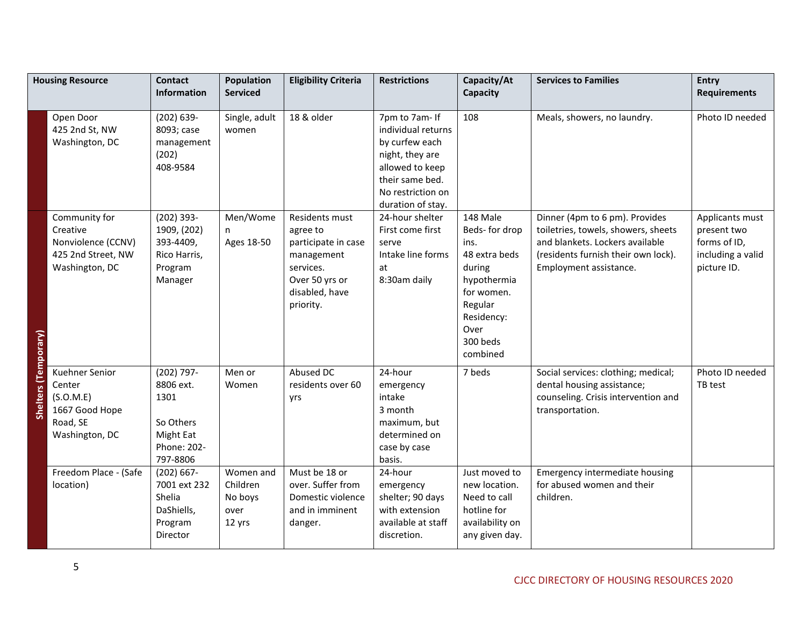|                      | <b>Housing Resource</b>                                                                 | <b>Contact</b><br><b>Information</b>                                                 | Population<br><b>Serviced</b>                      | <b>Eligibility Criteria</b>                                                                                                   | <b>Restrictions</b>                                                                                                                                       | Capacity/At<br>Capacity                                                                                                                            | <b>Services to Families</b>                                                                                                                                               | Entry<br><b>Requirements</b>                                                       |
|----------------------|-----------------------------------------------------------------------------------------|--------------------------------------------------------------------------------------|----------------------------------------------------|-------------------------------------------------------------------------------------------------------------------------------|-----------------------------------------------------------------------------------------------------------------------------------------------------------|----------------------------------------------------------------------------------------------------------------------------------------------------|---------------------------------------------------------------------------------------------------------------------------------------------------------------------------|------------------------------------------------------------------------------------|
|                      | Open Door<br>425 2nd St, NW<br>Washington, DC                                           | $(202) 639 -$<br>8093; case<br>management<br>(202)<br>408-9584                       | Single, adult<br>women                             | 18 & older                                                                                                                    | 7pm to 7am- If<br>individual returns<br>by curfew each<br>night, they are<br>allowed to keep<br>their same bed.<br>No restriction on<br>duration of stay. | 108                                                                                                                                                | Meals, showers, no laundry.                                                                                                                                               | Photo ID needed                                                                    |
| Shelters (Temporary) | Community for<br>Creative<br>Nonviolence (CCNV)<br>425 2nd Street, NW<br>Washington, DC | $(202)$ 393-<br>1909, (202)<br>393-4409,<br>Rico Harris,<br>Program<br>Manager       | Men/Wome<br>n<br>Ages 18-50                        | Residents must<br>agree to<br>participate in case<br>management<br>services.<br>Over 50 yrs or<br>disabled, have<br>priority. | 24-hour shelter<br>First come first<br>serve<br>Intake line forms<br>at<br>8:30am daily                                                                   | 148 Male<br>Beds-for drop<br>ins.<br>48 extra beds<br>during<br>hypothermia<br>for women.<br>Regular<br>Residency:<br>Over<br>300 beds<br>combined | Dinner (4pm to 6 pm). Provides<br>toiletries, towels, showers, sheets<br>and blankets. Lockers available<br>(residents furnish their own lock).<br>Employment assistance. | Applicants must<br>present two<br>forms of ID,<br>including a valid<br>picture ID. |
|                      | Kuehner Senior<br>Center<br>(S.O.M.E)<br>1667 Good Hope<br>Road, SE<br>Washington, DC   | (202) 797-<br>8806 ext.<br>1301<br>So Others<br>Might Eat<br>Phone: 202-<br>797-8806 | Men or<br>Women                                    | Abused DC<br>residents over 60<br>yrs                                                                                         | 24-hour<br>emergency<br>intake<br>3 month<br>maximum, but<br>determined on<br>case by case<br>basis.                                                      | 7 beds                                                                                                                                             | Social services: clothing; medical;<br>dental housing assistance;<br>counseling. Crisis intervention and<br>transportation.                                               | Photo ID needed<br>TB test                                                         |
|                      | Freedom Place - (Safe<br>location)                                                      | $(202) 667 -$<br>7001 ext 232<br>Shelia<br>DaShiells,<br>Program<br>Director         | Women and<br>Children<br>No boys<br>over<br>12 yrs | Must be 18 or<br>over. Suffer from<br>Domestic violence<br>and in imminent<br>danger.                                         | 24-hour<br>emergency<br>shelter; 90 days<br>with extension<br>available at staff<br>discretion.                                                           | Just moved to<br>new location.<br>Need to call<br>hotline for<br>availability on<br>any given day.                                                 | <b>Emergency intermediate housing</b><br>for abused women and their<br>children.                                                                                          |                                                                                    |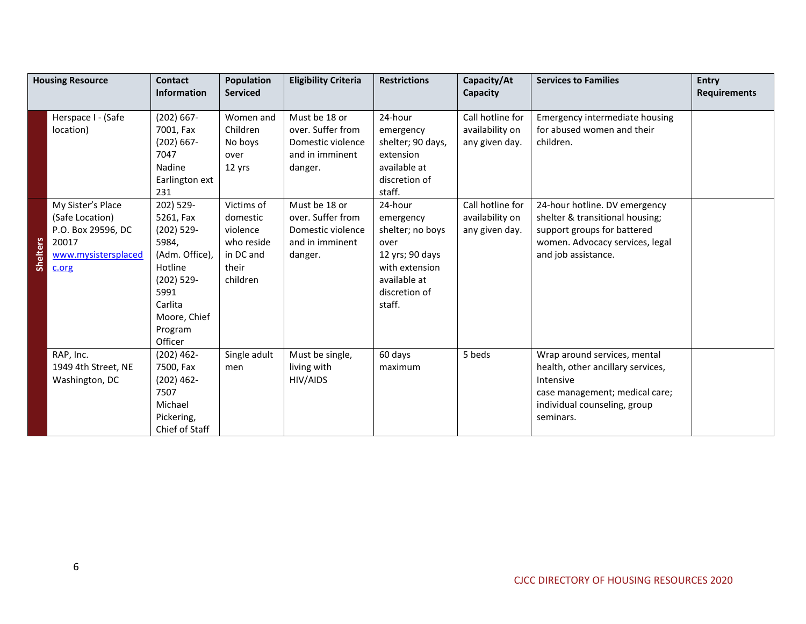|                 | <b>Housing Resource</b>                                                                                                                | <b>Contact</b><br><b>Information</b>                                                                                                                                                                                                            | Population<br><b>Serviced</b>                                                                                                            | <b>Eligibility Criteria</b>                                                                                                                                                    | <b>Restrictions</b>                                                                                                                                                                                                                   | Capacity/At<br>Capacity                                                                                        | <b>Services to Families</b>                                                                                                                                                                                                                   | <b>Entry</b><br><b>Requirements</b> |
|-----------------|----------------------------------------------------------------------------------------------------------------------------------------|-------------------------------------------------------------------------------------------------------------------------------------------------------------------------------------------------------------------------------------------------|------------------------------------------------------------------------------------------------------------------------------------------|--------------------------------------------------------------------------------------------------------------------------------------------------------------------------------|---------------------------------------------------------------------------------------------------------------------------------------------------------------------------------------------------------------------------------------|----------------------------------------------------------------------------------------------------------------|-----------------------------------------------------------------------------------------------------------------------------------------------------------------------------------------------------------------------------------------------|-------------------------------------|
| <b>Shelters</b> | Herspace I - (Safe<br>location)<br>My Sister's Place<br>(Safe Location)<br>P.O. Box 29596, DC<br>20017<br>www.mysistersplaced<br>c.org | $(202) 667 -$<br>7001, Fax<br>$(202) 667 -$<br>7047<br>Nadine<br>Earlington ext<br>231<br>202) 529-<br>5261, Fax<br>$(202)$ 529-<br>5984,<br>(Adm. Office),<br>Hotline<br>$(202)$ 529-<br>5991<br>Carlita<br>Moore, Chief<br>Program<br>Officer | Women and<br>Children<br>No boys<br>over<br>12 yrs<br>Victims of<br>domestic<br>violence<br>who reside<br>in DC and<br>their<br>children | Must be 18 or<br>over. Suffer from<br>Domestic violence<br>and in imminent<br>danger.<br>Must be 18 or<br>over. Suffer from<br>Domestic violence<br>and in imminent<br>danger. | 24-hour<br>emergency<br>shelter; 90 days,<br>extension<br>available at<br>discretion of<br>staff.<br>24-hour<br>emergency<br>shelter; no boys<br>over<br>12 yrs; 90 days<br>with extension<br>available at<br>discretion of<br>staff. | Call hotline for<br>availability on<br>any given day.<br>Call hotline for<br>availability on<br>any given day. | <b>Emergency intermediate housing</b><br>for abused women and their<br>children.<br>24-hour hotline. DV emergency<br>shelter & transitional housing;<br>support groups for battered<br>women. Advocacy services, legal<br>and job assistance. |                                     |
|                 | RAP, Inc.<br>1949 4th Street, NE<br>Washington, DC                                                                                     | $(202)$ 462-<br>7500, Fax<br>$(202)$ 462-<br>7507<br>Michael<br>Pickering,<br>Chief of Staff                                                                                                                                                    | Single adult<br>men                                                                                                                      | Must be single,<br>living with<br>HIV/AIDS                                                                                                                                     | 60 days<br>maximum                                                                                                                                                                                                                    | 5 beds                                                                                                         | Wrap around services, mental<br>health, other ancillary services,<br>Intensive<br>case management; medical care;<br>individual counseling, group<br>seminars.                                                                                 |                                     |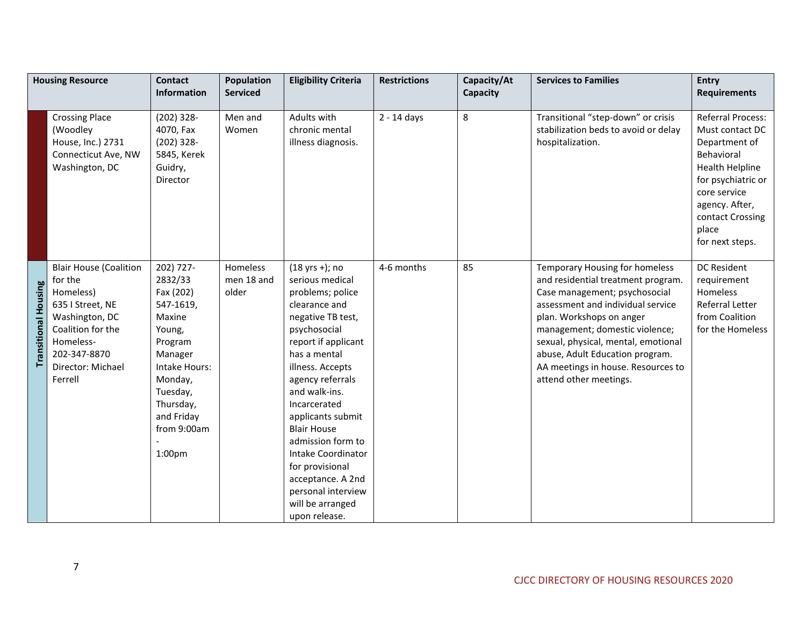| <b>Housing Resource</b>     |                                                                                                                                                                               | <b>Contact</b>                                                                                                                                                                                   | <b>Population</b>               | <b>Eligibility Criteria</b>                                                                                                                                                                                                                                                                                                                                                                                                     | <b>Restrictions</b> | Capacity/At | <b>Services to Families</b>                                                                                                                                                                                                                                                                                                                        | <b>Entry</b>                                                                                                                                                                                   |
|-----------------------------|-------------------------------------------------------------------------------------------------------------------------------------------------------------------------------|--------------------------------------------------------------------------------------------------------------------------------------------------------------------------------------------------|---------------------------------|---------------------------------------------------------------------------------------------------------------------------------------------------------------------------------------------------------------------------------------------------------------------------------------------------------------------------------------------------------------------------------------------------------------------------------|---------------------|-------------|----------------------------------------------------------------------------------------------------------------------------------------------------------------------------------------------------------------------------------------------------------------------------------------------------------------------------------------------------|------------------------------------------------------------------------------------------------------------------------------------------------------------------------------------------------|
|                             |                                                                                                                                                                               | <b>Information</b>                                                                                                                                                                               | <b>Serviced</b>                 |                                                                                                                                                                                                                                                                                                                                                                                                                                 |                     | Capacity    |                                                                                                                                                                                                                                                                                                                                                    | <b>Requirements</b>                                                                                                                                                                            |
|                             | <b>Crossing Place</b><br>(Woodley<br>House, Inc.) 2731<br>Connecticut Ave, NW<br>Washington, DC                                                                               | $(202)$ 328-<br>4070, Fax<br>$(202)$ 328-<br>5845, Kerek<br>Guidry,<br>Director                                                                                                                  | Men and<br>Women                | Adults with<br>chronic mental<br>illness diagnosis.                                                                                                                                                                                                                                                                                                                                                                             | 2 - 14 days         | 8           | Transitional "step-down" or crisis<br>stabilization beds to avoid or delay<br>hospitalization.                                                                                                                                                                                                                                                     | Referral Process:<br>Must contact DC<br>Department of<br>Behavioral<br>Health Helpline<br>for psychiatric or<br>core service<br>agency. After,<br>contact Crossing<br>place<br>for next steps. |
| <b>Transitional Housing</b> | <b>Blair House (Coalition</b><br>for the<br>Homeless)<br>635   Street, NE<br>Washington, DC<br>Coalition for the<br>Homeless-<br>202-347-8870<br>Director: Michael<br>Ferrell | 202) 727-<br>2832/33<br>Fax (202)<br>547-1619,<br>Maxine<br>Young,<br>Program<br>Manager<br>Intake Hours:<br>Monday,<br>Tuesday,<br>Thursday,<br>and Friday<br>from 9:00am<br>1:00 <sub>pm</sub> | Homeless<br>men 18 and<br>older | $(18 \text{ yrs +})$ ; no<br>serious medical<br>problems; police<br>clearance and<br>negative TB test,<br>psychosocial<br>report if applicant<br>has a mental<br>illness. Accepts<br>agency referrals<br>and walk-ins.<br>Incarcerated<br>applicants submit<br><b>Blair House</b><br>admission form to<br>Intake Coordinator<br>for provisional<br>acceptance. A 2nd<br>personal interview<br>will be arranged<br>upon release. | 4-6 months          | 85          | Temporary Housing for homeless<br>and residential treatment program.<br>Case management; psychosocial<br>assessment and individual service<br>plan. Workshops on anger<br>management; domestic violence;<br>sexual, physical, mental, emotional<br>abuse, Adult Education program.<br>AA meetings in house. Resources to<br>attend other meetings. | DC Resident<br>requirement<br>Homeless<br>Referral Letter<br>from Coalition<br>for the Homeless                                                                                                |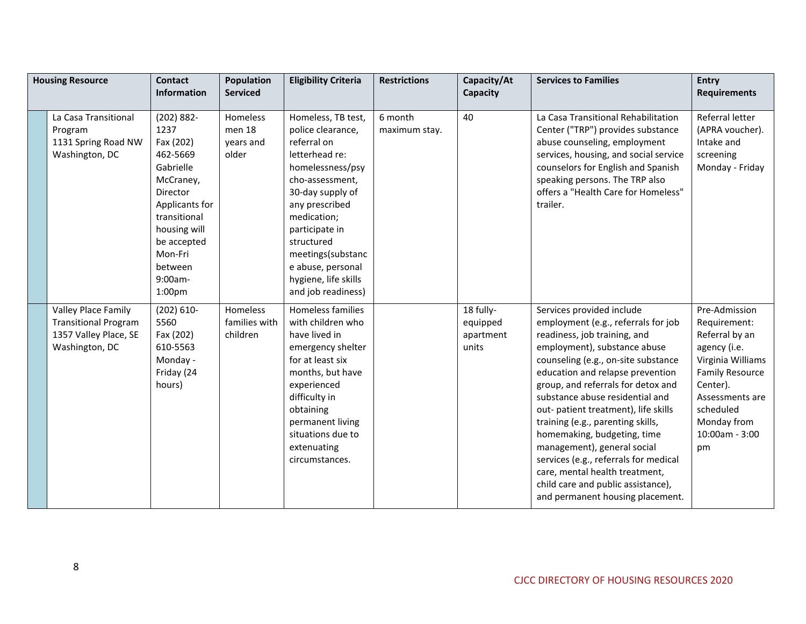| <b>Housing Resource</b>                                                                       | <b>Contact</b><br><b>Information</b>                                                                                                                                                                | <b>Population</b><br><b>Serviced</b>            | <b>Eligibility Criteria</b>                                                                                                                                                                                                                                                                  | <b>Restrictions</b>      | Capacity/At<br>Capacity                     | <b>Services to Families</b>                                                                                                                                                                                                                                                                                                                                                                                                                                                                                                                                                          | <b>Entry</b><br><b>Requirements</b>                                                                                                                                                               |
|-----------------------------------------------------------------------------------------------|-----------------------------------------------------------------------------------------------------------------------------------------------------------------------------------------------------|-------------------------------------------------|----------------------------------------------------------------------------------------------------------------------------------------------------------------------------------------------------------------------------------------------------------------------------------------------|--------------------------|---------------------------------------------|--------------------------------------------------------------------------------------------------------------------------------------------------------------------------------------------------------------------------------------------------------------------------------------------------------------------------------------------------------------------------------------------------------------------------------------------------------------------------------------------------------------------------------------------------------------------------------------|---------------------------------------------------------------------------------------------------------------------------------------------------------------------------------------------------|
| La Casa Transitional<br>Program<br>1131 Spring Road NW<br>Washington, DC                      | $(202) 882 -$<br>1237<br>Fax (202)<br>462-5669<br>Gabrielle<br>McCraney,<br>Director<br>Applicants for<br>transitional<br>housing will<br>be accepted<br>Mon-Fri<br>between<br>$9:00am -$<br>1:00pm | <b>Homeless</b><br>men 18<br>years and<br>older | Homeless, TB test,<br>police clearance,<br>referral on<br>letterhead re:<br>homelessness/psy<br>cho-assessment,<br>30-day supply of<br>any prescribed<br>medication;<br>participate in<br>structured<br>meetings(substanc<br>e abuse, personal<br>hygiene, life skills<br>and job readiness) | 6 month<br>maximum stay. | 40                                          | La Casa Transitional Rehabilitation<br>Center ("TRP") provides substance<br>abuse counseling, employment<br>services, housing, and social service<br>counselors for English and Spanish<br>speaking persons. The TRP also<br>offers a "Health Care for Homeless"<br>trailer.                                                                                                                                                                                                                                                                                                         | Referral letter<br>(APRA voucher).<br>Intake and<br>screening<br>Monday - Friday                                                                                                                  |
| Valley Place Family<br><b>Transitional Program</b><br>1357 Valley Place, SE<br>Washington, DC | $(202) 610 -$<br>5560<br>Fax (202)<br>610-5563<br>Monday -<br>Friday (24<br>hours)                                                                                                                  | Homeless<br>families with<br>children           | Homeless families<br>with children who<br>have lived in<br>emergency shelter<br>for at least six<br>months, but have<br>experienced<br>difficulty in<br>obtaining<br>permanent living<br>situations due to<br>extenuating<br>circumstances.                                                  |                          | 18 fully-<br>equipped<br>apartment<br>units | Services provided include<br>employment (e.g., referrals for job<br>readiness, job training, and<br>employment), substance abuse<br>counseling (e.g., on-site substance<br>education and relapse prevention<br>group, and referrals for detox and<br>substance abuse residential and<br>out- patient treatment), life skills<br>training (e.g., parenting skills,<br>homemaking, budgeting, time<br>management), general social<br>services (e.g., referrals for medical<br>care, mental health treatment,<br>child care and public assistance),<br>and permanent housing placement. | Pre-Admission<br>Requirement:<br>Referral by an<br>agency (i.e.<br>Virginia Williams<br><b>Family Resource</b><br>Center).<br>Assessments are<br>scheduled<br>Monday from<br>10:00am - 3:00<br>pm |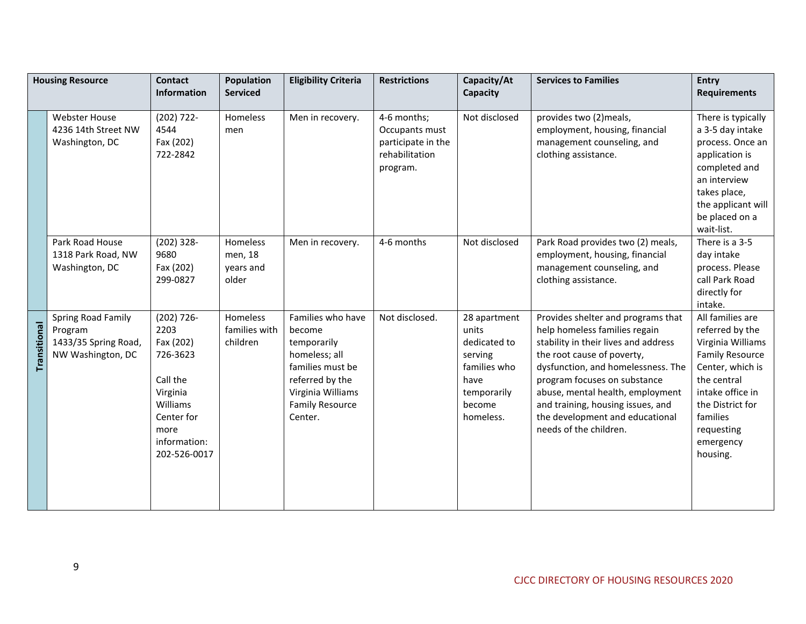|              | <b>Housing Resource</b>                                                    | <b>Contact</b>                                                                                                                          | <b>Population</b>                         | <b>Eligibility Criteria</b>                                                                                                                                  | <b>Restrictions</b>                                                               | Capacity/At                                                                                                    | <b>Services to Families</b>                                                                                                                                                                                                                                                                                                                           | Entry                                                                                                                                                                                                            |
|--------------|----------------------------------------------------------------------------|-----------------------------------------------------------------------------------------------------------------------------------------|-------------------------------------------|--------------------------------------------------------------------------------------------------------------------------------------------------------------|-----------------------------------------------------------------------------------|----------------------------------------------------------------------------------------------------------------|-------------------------------------------------------------------------------------------------------------------------------------------------------------------------------------------------------------------------------------------------------------------------------------------------------------------------------------------------------|------------------------------------------------------------------------------------------------------------------------------------------------------------------------------------------------------------------|
|              |                                                                            | Information                                                                                                                             | <b>Serviced</b>                           |                                                                                                                                                              |                                                                                   | Capacity                                                                                                       |                                                                                                                                                                                                                                                                                                                                                       | <b>Requirements</b>                                                                                                                                                                                              |
|              | <b>Webster House</b><br>4236 14th Street NW<br>Washington, DC              | $(202) 722 -$<br>4544<br>Fax (202)<br>722-2842                                                                                          | Homeless<br>men                           | Men in recovery.                                                                                                                                             | 4-6 months;<br>Occupants must<br>participate in the<br>rehabilitation<br>program. | Not disclosed                                                                                                  | provides two (2)meals,<br>employment, housing, financial<br>management counseling, and<br>clothing assistance.                                                                                                                                                                                                                                        | There is typically<br>a 3-5 day intake<br>process. Once an<br>application is<br>completed and<br>an interview<br>takes place,<br>the applicant will<br>be placed on a<br>wait-list.                              |
|              | Park Road House<br>1318 Park Road, NW<br>Washington, DC                    | $(202)$ 328-<br>9680<br>Fax (202)<br>299-0827                                                                                           | Homeless<br>men, 18<br>years and<br>older | Men in recovery.                                                                                                                                             | 4-6 months                                                                        | Not disclosed                                                                                                  | Park Road provides two (2) meals,<br>employment, housing, financial<br>management counseling, and<br>clothing assistance.                                                                                                                                                                                                                             | There is a 3-5<br>day intake<br>process. Please<br>call Park Road<br>directly for<br>intake.                                                                                                                     |
| Transitional | Spring Road Family<br>Program<br>1433/35 Spring Road,<br>NW Washington, DC | $(202)$ 726-<br>2203<br>Fax (202)<br>726-3623<br>Call the<br>Virginia<br>Williams<br>Center for<br>more<br>information:<br>202-526-0017 | Homeless<br>families with<br>children     | Families who have<br>become<br>temporarily<br>homeless; all<br>families must be<br>referred by the<br>Virginia Williams<br><b>Family Resource</b><br>Center. | Not disclosed.                                                                    | 28 apartment<br>units<br>dedicated to<br>serving<br>families who<br>have<br>temporarily<br>become<br>homeless. | Provides shelter and programs that<br>help homeless families regain<br>stability in their lives and address<br>the root cause of poverty,<br>dysfunction, and homelessness. The<br>program focuses on substance<br>abuse, mental health, employment<br>and training, housing issues, and<br>the development and educational<br>needs of the children. | All families are<br>referred by the<br>Virginia Williams<br><b>Family Resource</b><br>Center, which is<br>the central<br>intake office in<br>the District for<br>families<br>requesting<br>emergency<br>housing. |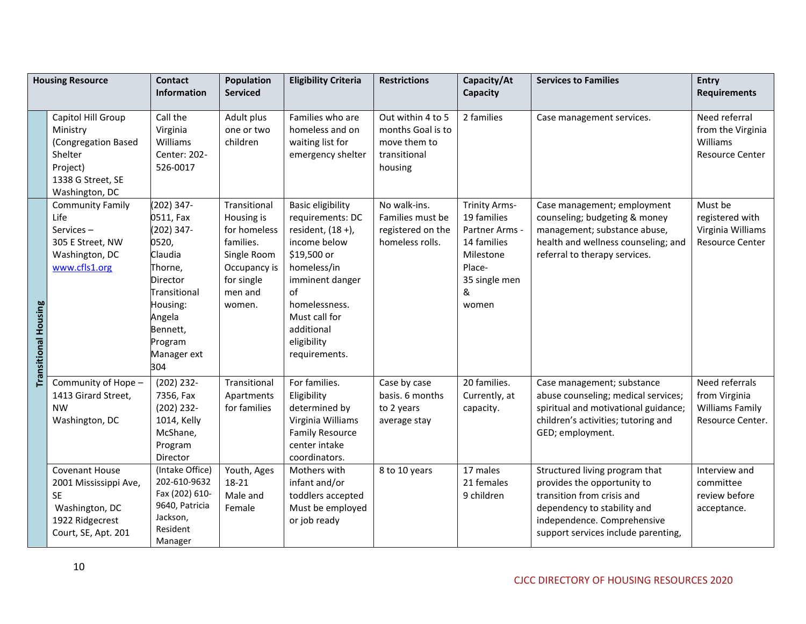|                             | <b>Housing Resource</b>                                                                                                 | <b>Contact</b><br><b>Information</b>                                                                                                                                         | <b>Population</b><br><b>Serviced</b>                                                                                      | <b>Eligibility Criteria</b>                                                                                                                                                                                              | <b>Restrictions</b>                                                               | Capacity/At<br>Capacity                                                                                                    | <b>Services to Families</b>                                                                                                                                                                      | <b>Entry</b><br><b>Requirements</b>                                           |
|-----------------------------|-------------------------------------------------------------------------------------------------------------------------|------------------------------------------------------------------------------------------------------------------------------------------------------------------------------|---------------------------------------------------------------------------------------------------------------------------|--------------------------------------------------------------------------------------------------------------------------------------------------------------------------------------------------------------------------|-----------------------------------------------------------------------------------|----------------------------------------------------------------------------------------------------------------------------|--------------------------------------------------------------------------------------------------------------------------------------------------------------------------------------------------|-------------------------------------------------------------------------------|
|                             | Capitol Hill Group<br>Ministry<br>(Congregation Based<br>Shelter<br>Project)<br>1338 G Street, SE<br>Washington, DC     | Call the<br>Virginia<br>Williams<br>Center: 202-<br>526-0017                                                                                                                 | Adult plus<br>one or two<br>children                                                                                      | Families who are<br>homeless and on<br>waiting list for<br>emergency shelter                                                                                                                                             | Out within 4 to 5<br>months Goal is to<br>move them to<br>transitional<br>housing | 2 families                                                                                                                 | Case management services.                                                                                                                                                                        | Need referral<br>from the Virginia<br>Williams<br>Resource Center             |
| <b>Transitional Housing</b> | <b>Community Family</b><br>Life<br>Services-<br>305 E Street, NW<br>Washington, DC<br>www.cfls1.org                     | $(202)$ 347-<br>0511, Fax<br>(202) 347-<br>0520,<br>Claudia<br>Thorne,<br><b>Director</b><br>Transitional<br>Housing:<br>Angela<br>Bennett,<br>Program<br>Manager ext<br>304 | Transitional<br>Housing is<br>for homeless<br>families.<br>Single Room<br>Occupancy is<br>for single<br>men and<br>women. | <b>Basic eligibility</b><br>requirements: DC<br>resident, (18 +),<br>income below<br>\$19,500 or<br>homeless/in<br>imminent danger<br>of<br>homelessness.<br>Must call for<br>additional<br>eligibility<br>requirements. | No walk-ins.<br>Families must be<br>registered on the<br>homeless rolls.          | <b>Trinity Arms-</b><br>19 families<br>Partner Arms -<br>14 families<br>Milestone<br>Place-<br>35 single men<br>&<br>women | Case management; employment<br>counseling; budgeting & money<br>management; substance abuse,<br>health and wellness counseling; and<br>referral to therapy services.                             | Must be<br>registered with<br>Virginia Williams<br>Resource Center            |
|                             | Community of Hope -<br>1413 Girard Street,<br><b>NW</b><br>Washington, DC                                               | $(202)$ 232-<br>7356, Fax<br>$(202)$ 232-<br>1014, Kelly<br>McShane,<br>Program<br>Director                                                                                  | Transitional<br>Apartments<br>for families                                                                                | For families.<br>Eligibility<br>determined by<br>Virginia Williams<br><b>Family Resource</b><br>center intake<br>coordinators.                                                                                           | Case by case<br>basis. 6 months<br>to 2 years<br>average stay                     | 20 families.<br>Currently, at<br>capacity.                                                                                 | Case management; substance<br>abuse counseling; medical services;<br>spiritual and motivational guidance;<br>children's activities; tutoring and<br>GED; employment.                             | Need referrals<br>from Virginia<br><b>Williams Family</b><br>Resource Center. |
|                             | <b>Covenant House</b><br>2001 Mississippi Ave,<br><b>SE</b><br>Washington, DC<br>1922 Ridgecrest<br>Court, SE, Apt. 201 | (Intake Office)<br>202-610-9632<br>Fax (202) 610-<br>9640, Patricia<br>Jackson,<br>Resident<br>Manager                                                                       | Youth, Ages<br>18-21<br>Male and<br>Female                                                                                | Mothers with<br>infant and/or<br>toddlers accepted<br>Must be employed<br>or job ready                                                                                                                                   | 8 to 10 years                                                                     | 17 males<br>21 females<br>9 children                                                                                       | Structured living program that<br>provides the opportunity to<br>transition from crisis and<br>dependency to stability and<br>independence. Comprehensive<br>support services include parenting, | Interview and<br>committee<br>review before<br>acceptance.                    |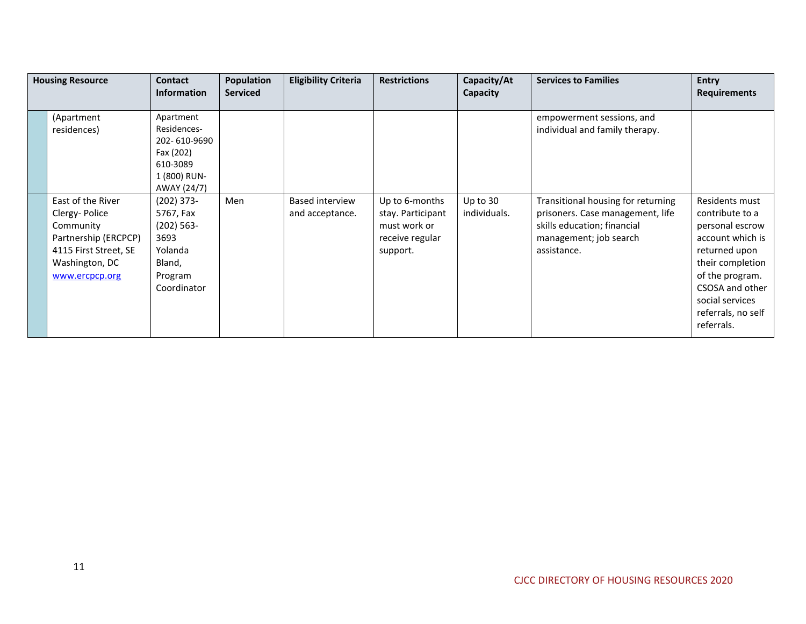| <b>Housing Resource</b>                                                                                                              | <b>Contact</b><br><b>Information</b>                                                              | <b>Population</b><br><b>Serviced</b> | <b>Eligibility Criteria</b>        | <b>Restrictions</b>                                                                | Capacity/At<br>Capacity  | <b>Services to Families</b>                                                                                                                    | <b>Entry</b><br><b>Requirements</b>                                                                                                                                                                        |
|--------------------------------------------------------------------------------------------------------------------------------------|---------------------------------------------------------------------------------------------------|--------------------------------------|------------------------------------|------------------------------------------------------------------------------------|--------------------------|------------------------------------------------------------------------------------------------------------------------------------------------|------------------------------------------------------------------------------------------------------------------------------------------------------------------------------------------------------------|
| (Apartment<br>residences)                                                                                                            | Apartment<br>Residences-<br>202-610-9690<br>Fax (202)<br>610-3089<br>1 (800) RUN-<br>AWAY (24/7)  |                                      |                                    |                                                                                    |                          | empowerment sessions, and<br>individual and family therapy.                                                                                    |                                                                                                                                                                                                            |
| East of the River<br>Clergy-Police<br>Community<br>Partnership (ERCPCP)<br>4115 First Street, SE<br>Washington, DC<br>www.ercpcp.org | $(202)$ 373-<br>5767, Fax<br>$(202) 563 -$<br>3693<br>Yolanda<br>Bland,<br>Program<br>Coordinator | Men                                  | Based interview<br>and acceptance. | Up to 6-months<br>stay. Participant<br>must work or<br>receive regular<br>support. | Up to 30<br>individuals. | Transitional housing for returning<br>prisoners. Case management, life<br>skills education; financial<br>management; job search<br>assistance. | Residents must<br>contribute to a<br>personal escrow<br>account which is<br>returned upon<br>their completion<br>of the program.<br>CSOSA and other<br>social services<br>referrals, no self<br>referrals. |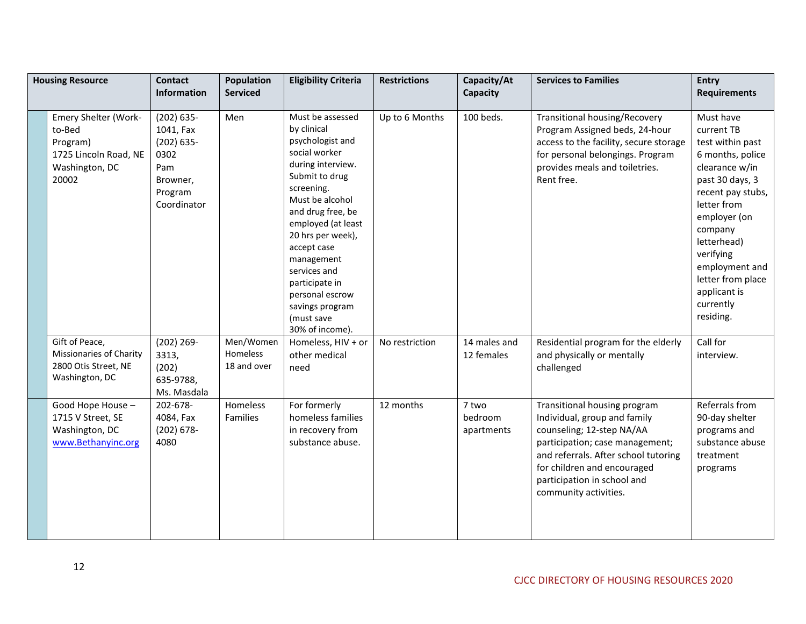| <b>Housing Resource</b>                                                                        | <b>Contact</b><br>Information                                                                    | <b>Population</b><br><b>Serviced</b> | <b>Eligibility Criteria</b>                                                                                                                                                                                                                                                                                                                        | <b>Restrictions</b> | Capacity/At<br><b>Capacity</b> | <b>Services to Families</b>                                                                                                                                                                                                                                 | <b>Entry</b><br><b>Requirements</b>                                                                                                                                                                                                                                              |
|------------------------------------------------------------------------------------------------|--------------------------------------------------------------------------------------------------|--------------------------------------|----------------------------------------------------------------------------------------------------------------------------------------------------------------------------------------------------------------------------------------------------------------------------------------------------------------------------------------------------|---------------------|--------------------------------|-------------------------------------------------------------------------------------------------------------------------------------------------------------------------------------------------------------------------------------------------------------|----------------------------------------------------------------------------------------------------------------------------------------------------------------------------------------------------------------------------------------------------------------------------------|
| Emery Shelter (Work-<br>to-Bed<br>Program)<br>1725 Lincoln Road, NE<br>Washington, DC<br>20002 | $(202) 635 -$<br>1041, Fax<br>$(202) 635 -$<br>0302<br>Pam<br>Browner,<br>Program<br>Coordinator | Men                                  | Must be assessed<br>by clinical<br>psychologist and<br>social worker<br>during interview.<br>Submit to drug<br>screening.<br>Must be alcohol<br>and drug free, be<br>employed (at least<br>20 hrs per week),<br>accept case<br>management<br>services and<br>participate in<br>personal escrow<br>savings program<br>(must save<br>30% of income). | Up to 6 Months      | 100 beds.                      | <b>Transitional housing/Recovery</b><br>Program Assigned beds, 24-hour<br>access to the facility, secure storage<br>for personal belongings. Program<br>provides meals and toiletries.<br>Rent free.                                                        | Must have<br>current TB<br>test within past<br>6 months, police<br>clearance w/in<br>past 30 days, 3<br>recent pay stubs,<br>letter from<br>employer (on<br>company<br>letterhead)<br>verifying<br>employment and<br>letter from place<br>applicant is<br>currently<br>residing. |
| Gift of Peace,<br>Missionaries of Charity<br>2800 Otis Street, NE<br>Washington, DC            | $(202) 269 -$<br>3313,<br>(202)<br>635-9788,<br>Ms. Masdala                                      | Men/Women<br>Homeless<br>18 and over | Homeless, HIV + or<br>other medical<br>need                                                                                                                                                                                                                                                                                                        | No restriction      | 14 males and<br>12 females     | Residential program for the elderly<br>and physically or mentally<br>challenged                                                                                                                                                                             | Call for<br>interview.                                                                                                                                                                                                                                                           |
| Good Hope House -<br>1715 V Street, SE<br>Washington, DC<br>www.Bethanyinc.org                 | 202-678-<br>4084, Fax<br>$(202) 678 -$<br>4080                                                   | Homeless<br>Families                 | For formerly<br>homeless families<br>in recovery from<br>substance abuse.                                                                                                                                                                                                                                                                          | 12 months           | 7 two<br>bedroom<br>apartments | Transitional housing program<br>Individual, group and family<br>counseling; 12-step NA/AA<br>participation; case management;<br>and referrals. After school tutoring<br>for children and encouraged<br>participation in school and<br>community activities. | Referrals from<br>90-day shelter<br>programs and<br>substance abuse<br>treatment<br>programs                                                                                                                                                                                     |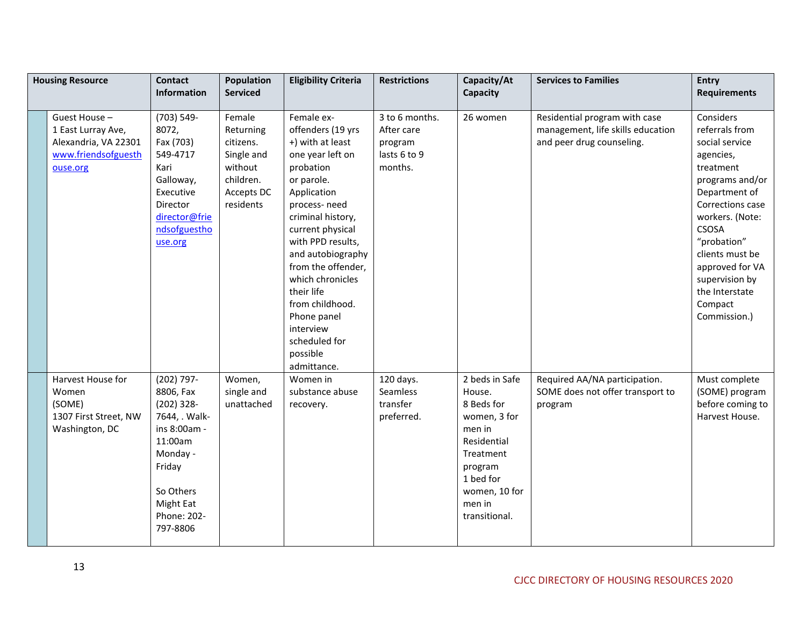| <b>Housing Resource</b>                                                                       | <b>Contact</b><br>Information                                                                                                                                           | Population<br><b>Serviced</b>                                                                     | <b>Eligibility Criteria</b>                                                                                                                                                                                                                                                                                                                                             | <b>Restrictions</b>                                                | Capacity/At<br>Capacity                                                                                                                                          | <b>Services to Families</b>                                                                     | <b>Entry</b><br><b>Requirements</b>                                                                                                                                                                                                                                                    |
|-----------------------------------------------------------------------------------------------|-------------------------------------------------------------------------------------------------------------------------------------------------------------------------|---------------------------------------------------------------------------------------------------|-------------------------------------------------------------------------------------------------------------------------------------------------------------------------------------------------------------------------------------------------------------------------------------------------------------------------------------------------------------------------|--------------------------------------------------------------------|------------------------------------------------------------------------------------------------------------------------------------------------------------------|-------------------------------------------------------------------------------------------------|----------------------------------------------------------------------------------------------------------------------------------------------------------------------------------------------------------------------------------------------------------------------------------------|
| Guest House-<br>1 East Lurray Ave,<br>Alexandria, VA 22301<br>www.friendsofguesth<br>ouse.org | (703) 549-<br>8072,<br>Fax (703)<br>549-4717<br>Kari<br>Galloway,<br>Executive<br>Director<br>director@frie<br>ndsofguestho<br>use.org                                  | Female<br>Returning<br>citizens.<br>Single and<br>without<br>children.<br>Accepts DC<br>residents | Female ex-<br>offenders (19 yrs<br>+) with at least<br>one year left on<br>probation<br>or parole.<br>Application<br>process-need<br>criminal history,<br>current physical<br>with PPD results,<br>and autobiography<br>from the offender,<br>which chronicles<br>their life<br>from childhood.<br>Phone panel<br>interview<br>scheduled for<br>possible<br>admittance. | 3 to 6 months.<br>After care<br>program<br>lasts 6 to 9<br>months. | 26 women                                                                                                                                                         | Residential program with case<br>management, life skills education<br>and peer drug counseling. | Considers<br>referrals from<br>social service<br>agencies,<br>treatment<br>programs and/or<br>Department of<br>Corrections case<br>workers. (Note:<br><b>CSOSA</b><br>"probation"<br>clients must be<br>approved for VA<br>supervision by<br>the Interstate<br>Compact<br>Commission.) |
| Harvest House for<br>Women<br>(SOME)<br>1307 First Street, NW<br>Washington, DC               | $(202)$ 797-<br>8806, Fax<br>$(202)$ 328-<br>7644, . Walk-<br>ins 8:00am -<br>11:00am<br>Monday -<br>Friday<br>So Others<br><b>Might Eat</b><br>Phone: 202-<br>797-8806 | Women,<br>single and<br>unattached                                                                | Women in<br>substance abuse<br>recovery.                                                                                                                                                                                                                                                                                                                                | 120 days.<br>Seamless<br>transfer<br>preferred.                    | 2 beds in Safe<br>House.<br>8 Beds for<br>women, 3 for<br>men in<br>Residential<br>Treatment<br>program<br>1 bed for<br>women, 10 for<br>men in<br>transitional. | Required AA/NA participation.<br>SOME does not offer transport to<br>program                    | Must complete<br>(SOME) program<br>before coming to<br>Harvest House.                                                                                                                                                                                                                  |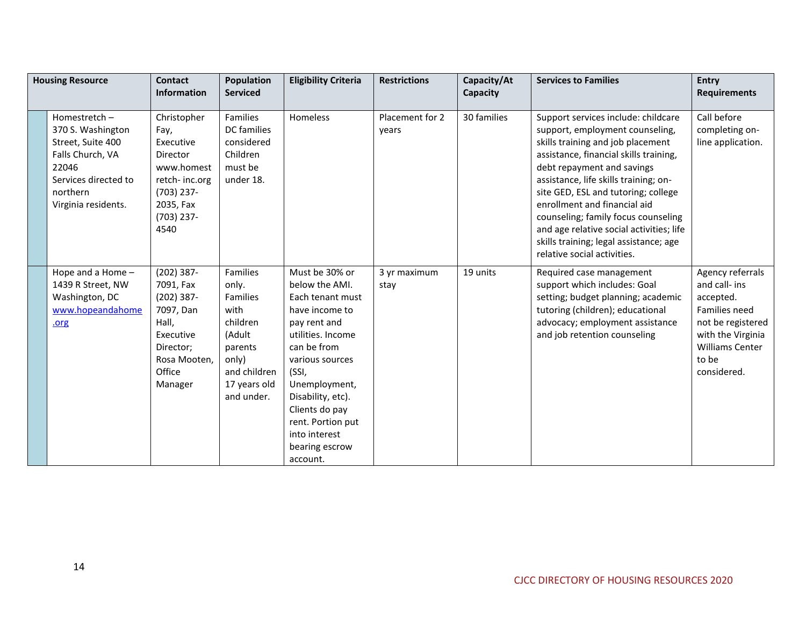| <b>Housing Resource</b>                                                                                                                        | <b>Contact</b><br><b>Information</b>                                                                                             | <b>Population</b><br><b>Serviced</b>                                                                                          | <b>Eligibility Criteria</b>                                                                                                                                                                                                                                                        | <b>Restrictions</b>      | Capacity/At<br>Capacity | <b>Services to Families</b>                                                                                                                                                                                                                                                                                                                                                                                                                                     | <b>Entry</b><br><b>Requirements</b>                                                                                                                         |
|------------------------------------------------------------------------------------------------------------------------------------------------|----------------------------------------------------------------------------------------------------------------------------------|-------------------------------------------------------------------------------------------------------------------------------|------------------------------------------------------------------------------------------------------------------------------------------------------------------------------------------------------------------------------------------------------------------------------------|--------------------------|-------------------------|-----------------------------------------------------------------------------------------------------------------------------------------------------------------------------------------------------------------------------------------------------------------------------------------------------------------------------------------------------------------------------------------------------------------------------------------------------------------|-------------------------------------------------------------------------------------------------------------------------------------------------------------|
| Homestretch-<br>370 S. Washington<br>Street, Suite 400<br>Falls Church, VA<br>22046<br>Services directed to<br>northern<br>Virginia residents. | Christopher<br>Fay,<br>Executive<br>Director<br>www.homest<br>retch-inc.org<br>$(703)$ 237-<br>2035, Fax<br>$(703)$ 237-<br>4540 | <b>Families</b><br>DC families<br>considered<br>Children<br>must be<br>under 18.                                              | Homeless                                                                                                                                                                                                                                                                           | Placement for 2<br>years | 30 families             | Support services include: childcare<br>support, employment counseling,<br>skills training and job placement<br>assistance, financial skills training,<br>debt repayment and savings<br>assistance, life skills training; on-<br>site GED, ESL and tutoring; college<br>enrollment and financial aid<br>counseling; family focus counseling<br>and age relative social activities; life<br>skills training; legal assistance; age<br>relative social activities. | Call before<br>completing on-<br>line application.                                                                                                          |
| Hope and a Home -<br>1439 R Street, NW<br>Washington, DC<br>www.hopeandahome<br>.org                                                           | $(202)$ 387-<br>7091, Fax<br>$(202)$ 387-<br>7097, Dan<br>Hall,<br>Executive<br>Director;<br>Rosa Mooten,<br>Office<br>Manager   | Families<br>only.<br>Families<br>with<br>children<br>(Adult<br>parents<br>only)<br>and children<br>17 years old<br>and under. | Must be 30% or<br>below the AMI.<br>Each tenant must<br>have income to<br>pay rent and<br>utilities. Income<br>can be from<br>various sources<br>(SSI,<br>Unemployment,<br>Disability, etc).<br>Clients do pay<br>rent. Portion put<br>into interest<br>bearing escrow<br>account. | 3 yr maximum<br>stay     | 19 units                | Required case management<br>support which includes: Goal<br>setting; budget planning; academic<br>tutoring (children); educational<br>advocacy; employment assistance<br>and job retention counseling                                                                                                                                                                                                                                                           | Agency referrals<br>and call- ins<br>accepted.<br>Families need<br>not be registered<br>with the Virginia<br><b>Williams Center</b><br>to be<br>considered. |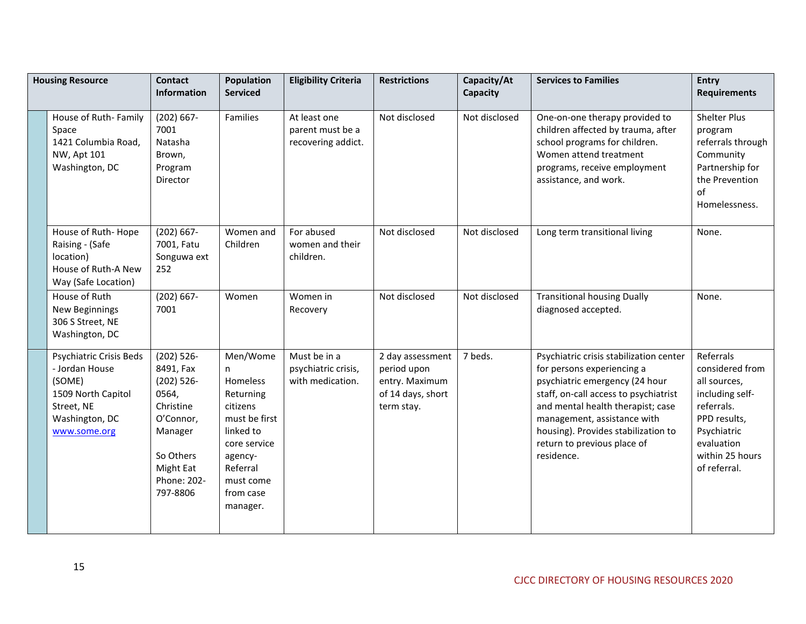| <b>Housing Resource</b>                                                                                                   | Contact<br><b>Information</b>                                                                                                                  | <b>Population</b><br><b>Serviced</b>                                                                                                                           | <b>Eligibility Criteria</b>                             | <b>Restrictions</b>                                                                  | Capacity/At<br>Capacity | <b>Services to Families</b>                                                                                                                                                                                                                                                                              | <b>Entry</b><br><b>Requirements</b>                                                                                                                           |
|---------------------------------------------------------------------------------------------------------------------------|------------------------------------------------------------------------------------------------------------------------------------------------|----------------------------------------------------------------------------------------------------------------------------------------------------------------|---------------------------------------------------------|--------------------------------------------------------------------------------------|-------------------------|----------------------------------------------------------------------------------------------------------------------------------------------------------------------------------------------------------------------------------------------------------------------------------------------------------|---------------------------------------------------------------------------------------------------------------------------------------------------------------|
| House of Ruth-Family<br>Space<br>1421 Columbia Road,<br>NW, Apt 101<br>Washington, DC                                     | $(202) 667 -$<br>7001<br>Natasha<br>Brown,<br>Program<br>Director                                                                              | Families                                                                                                                                                       | At least one<br>parent must be a<br>recovering addict.  | Not disclosed                                                                        | Not disclosed           | One-on-one therapy provided to<br>children affected by trauma, after<br>school programs for children.<br>Women attend treatment<br>programs, receive employment<br>assistance, and work.                                                                                                                 | <b>Shelter Plus</b><br>program<br>referrals through<br>Community<br>Partnership for<br>the Prevention<br>οf<br>Homelessness.                                  |
| House of Ruth-Hope<br>Raising - (Safe<br>location)<br>House of Ruth-A New<br>Way (Safe Location)                          | $(202) 667 -$<br>7001, Fatu<br>Songuwa ext<br>252                                                                                              | Women and<br>Children                                                                                                                                          | For abused<br>women and their<br>children.              | Not disclosed                                                                        | Not disclosed           | Long term transitional living                                                                                                                                                                                                                                                                            | None.                                                                                                                                                         |
| House of Ruth<br>New Beginnings<br>306 S Street, NE<br>Washington, DC                                                     | $(202) 667 -$<br>7001                                                                                                                          | Women                                                                                                                                                          | Women in<br>Recovery                                    | Not disclosed                                                                        | Not disclosed           | <b>Transitional housing Dually</b><br>diagnosed accepted.                                                                                                                                                                                                                                                | None.                                                                                                                                                         |
| Psychiatric Crisis Beds<br>- Jordan House<br>(SOME)<br>1509 North Capitol<br>Street, NE<br>Washington, DC<br>www.some.org | $(202) 526 -$<br>8491, Fax<br>$(202) 526 -$<br>0564,<br>Christine<br>O'Connor,<br>Manager<br>So Others<br>Might Eat<br>Phone: 202-<br>797-8806 | Men/Wome<br>n.<br>Homeless<br>Returning<br>citizens<br>must be first<br>linked to<br>core service<br>agency-<br>Referral<br>must come<br>from case<br>manager. | Must be in a<br>psychiatric crisis,<br>with medication. | 2 day assessment<br>period upon<br>entry. Maximum<br>of 14 days, short<br>term stay. | 7 beds.                 | Psychiatric crisis stabilization center<br>for persons experiencing a<br>psychiatric emergency (24 hour<br>staff, on-call access to psychiatrist<br>and mental health therapist; case<br>management, assistance with<br>housing). Provides stabilization to<br>return to previous place of<br>residence. | Referrals<br>considered from<br>all sources,<br>including self-<br>referrals.<br>PPD results,<br>Psychiatric<br>evaluation<br>within 25 hours<br>of referral. |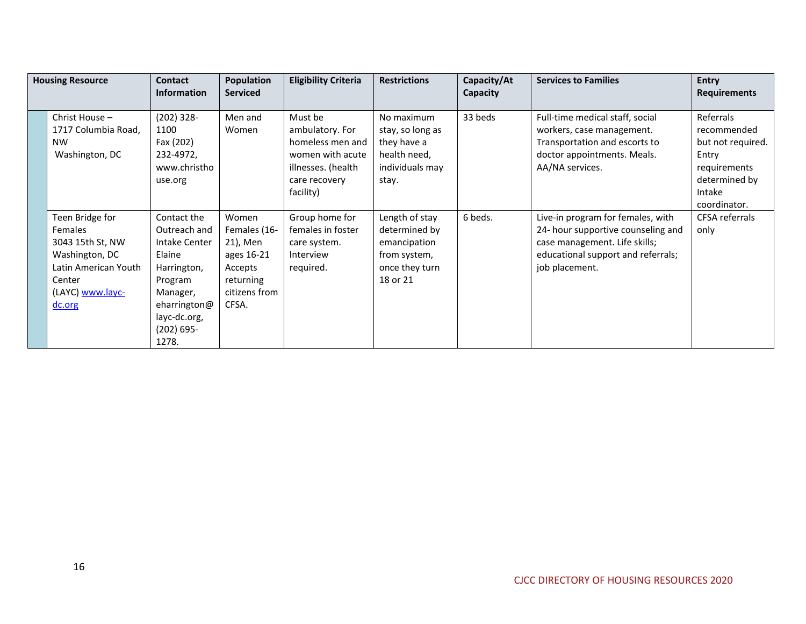| <b>Housing Resource</b>                                                                                                                 | <b>Contact</b><br><b>Information</b>                                                                                                                   | <b>Population</b><br><b>Serviced</b>                                                              | <b>Eligibility Criteria</b>                                                                                            | <b>Restrictions</b>                                                                           | Capacity/At<br>Capacity | <b>Services to Families</b>                                                                                                                                      | <b>Entry</b><br><b>Requirements</b>                                                                               |
|-----------------------------------------------------------------------------------------------------------------------------------------|--------------------------------------------------------------------------------------------------------------------------------------------------------|---------------------------------------------------------------------------------------------------|------------------------------------------------------------------------------------------------------------------------|-----------------------------------------------------------------------------------------------|-------------------------|------------------------------------------------------------------------------------------------------------------------------------------------------------------|-------------------------------------------------------------------------------------------------------------------|
| Christ House -<br>1717 Columbia Road,<br><b>NW</b><br>Washington, DC                                                                    | $(202)$ 328-<br>1100<br>Fax (202)<br>232-4972,<br>www.christho<br>use.org                                                                              | Men and<br>Women                                                                                  | Must be<br>ambulatory. For<br>homeless men and<br>women with acute<br>illnesses. (health<br>care recovery<br>facility) | No maximum<br>stay, so long as<br>they have a<br>health need,<br>individuals may<br>stay.     | 33 beds                 | Full-time medical staff, social<br>workers, case management.<br>Transportation and escorts to<br>doctor appointments. Meals.<br>AA/NA services.                  | Referrals<br>recommended<br>but not required.<br>Entry<br>requirements<br>determined by<br>Intake<br>coordinator. |
| Teen Bridge for<br><b>Females</b><br>3043 15th St, NW<br>Washington, DC<br>Latin American Youth<br>Center<br>(LAYC) www.layc-<br>dc.org | Contact the<br>Outreach and<br>Intake Center<br>Elaine<br>Harrington,<br>Program<br>Manager,<br>eharrington@<br>layc-dc.org,<br>$(202) 695 -$<br>1278. | Women<br>Females (16-<br>21), Men<br>ages 16-21<br>Accepts<br>returning<br>citizens from<br>CFSA. | Group home for<br>females in foster<br>care system.<br>Interview<br>required.                                          | Length of stay<br>determined by<br>emancipation<br>from system,<br>once they turn<br>18 or 21 | 6 beds.                 | Live-in program for females, with<br>24- hour supportive counseling and<br>case management. Life skills;<br>educational support and referrals;<br>job placement. | CFSA referrals<br>only                                                                                            |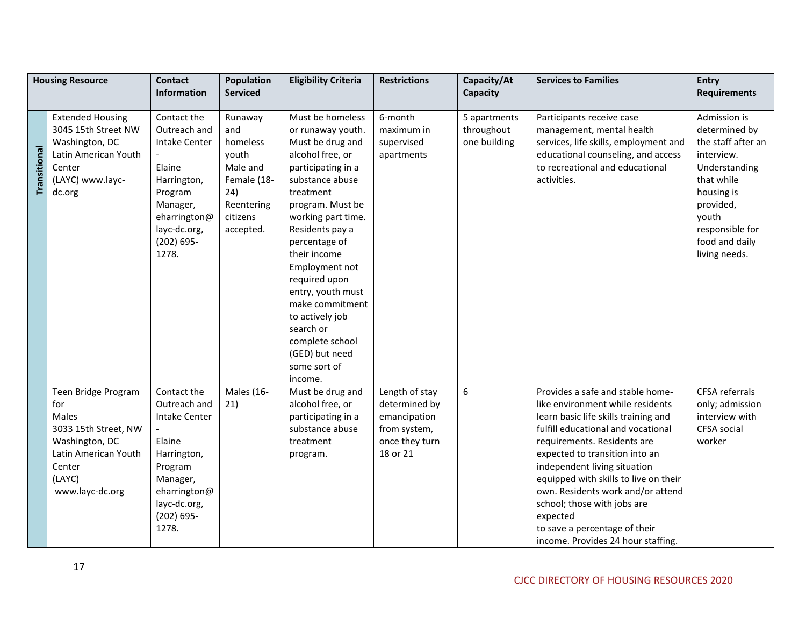|              | <b>Housing Resource</b>                                                                                                                      | <b>Contact</b><br>Information                                                                                                                                 | Population<br><b>Serviced</b>                                                                                | <b>Eligibility Criteria</b>                                                                                                                                                                                                                                                                                                                                                                                  | <b>Restrictions</b>                                                                           | Capacity/At<br>Capacity                    | <b>Services to Families</b>                                                                                                                                                                                                                                                                                                                                                                                                                         | <b>Entry</b><br><b>Requirements</b>                                                                                                                                                        |
|--------------|----------------------------------------------------------------------------------------------------------------------------------------------|---------------------------------------------------------------------------------------------------------------------------------------------------------------|--------------------------------------------------------------------------------------------------------------|--------------------------------------------------------------------------------------------------------------------------------------------------------------------------------------------------------------------------------------------------------------------------------------------------------------------------------------------------------------------------------------------------------------|-----------------------------------------------------------------------------------------------|--------------------------------------------|-----------------------------------------------------------------------------------------------------------------------------------------------------------------------------------------------------------------------------------------------------------------------------------------------------------------------------------------------------------------------------------------------------------------------------------------------------|--------------------------------------------------------------------------------------------------------------------------------------------------------------------------------------------|
|              |                                                                                                                                              |                                                                                                                                                               |                                                                                                              |                                                                                                                                                                                                                                                                                                                                                                                                              |                                                                                               |                                            |                                                                                                                                                                                                                                                                                                                                                                                                                                                     |                                                                                                                                                                                            |
| Transitional | <b>Extended Housing</b><br>3045 15th Street NW<br>Washington, DC<br>Latin American Youth<br>Center<br>(LAYC) www.layc-<br>dc.org             | Contact the<br>Outreach and<br><b>Intake Center</b><br>Elaine<br>Harrington,<br>Program<br>Manager,<br>eharrington@<br>layc-dc.org,<br>$(202) 695 -$<br>1278. | Runaway<br>and<br>homeless<br>youth<br>Male and<br>Female (18-<br>24)<br>Reentering<br>citizens<br>accepted. | Must be homeless<br>or runaway youth.<br>Must be drug and<br>alcohol free, or<br>participating in a<br>substance abuse<br>treatment<br>program. Must be<br>working part time.<br>Residents pay a<br>percentage of<br>their income<br>Employment not<br>required upon<br>entry, youth must<br>make commitment<br>to actively job<br>search or<br>complete school<br>(GED) but need<br>some sort of<br>income. | 6-month<br>maximum in<br>supervised<br>apartments                                             | 5 apartments<br>throughout<br>one building | Participants receive case<br>management, mental health<br>services, life skills, employment and<br>educational counseling, and access<br>to recreational and educational<br>activities.                                                                                                                                                                                                                                                             | Admission is<br>determined by<br>the staff after an<br>interview.<br>Understanding<br>that while<br>housing is<br>provided,<br>youth<br>responsible for<br>food and daily<br>living needs. |
|              | Teen Bridge Program<br>for<br>Males<br>3033 15th Street, NW<br>Washington, DC<br>Latin American Youth<br>Center<br>(LAYC)<br>www.layc-dc.org | Contact the<br>Outreach and<br><b>Intake Center</b><br>Elaine<br>Harrington,<br>Program<br>Manager,<br>eharrington@<br>layc-dc.org,<br>$(202) 695 -$<br>1278. | Males (16-<br>21)                                                                                            | Must be drug and<br>alcohol free, or<br>participating in a<br>substance abuse<br>treatment<br>program.                                                                                                                                                                                                                                                                                                       | Length of stay<br>determined by<br>emancipation<br>from system,<br>once they turn<br>18 or 21 | 6                                          | Provides a safe and stable home-<br>like environment while residents<br>learn basic life skills training and<br>fulfill educational and vocational<br>requirements. Residents are<br>expected to transition into an<br>independent living situation<br>equipped with skills to live on their<br>own. Residents work and/or attend<br>school; those with jobs are<br>expected<br>to save a percentage of their<br>income. Provides 24 hour staffing. | <b>CFSA referrals</b><br>only; admission<br>interview with<br>CFSA social<br>worker                                                                                                        |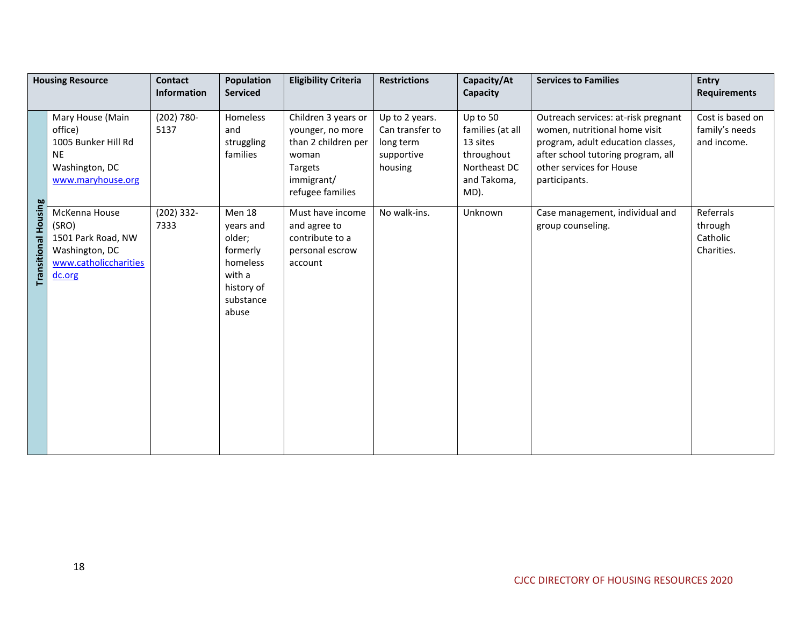|                         | <b>Housing Resource</b>                                                                                | <b>Contact</b><br><b>Information</b> | Population<br><b>Serviced</b>                                                                              | <b>Eligibility Criteria</b>                                                                                          | <b>Restrictions</b>                                                     | Capacity/At<br>Capacity                                                                       | <b>Services to Families</b>                                                                                                                                                                  | <b>Entry</b><br><b>Requirements</b>               |
|-------------------------|--------------------------------------------------------------------------------------------------------|--------------------------------------|------------------------------------------------------------------------------------------------------------|----------------------------------------------------------------------------------------------------------------------|-------------------------------------------------------------------------|-----------------------------------------------------------------------------------------------|----------------------------------------------------------------------------------------------------------------------------------------------------------------------------------------------|---------------------------------------------------|
|                         | Mary House (Main<br>office)<br>1005 Bunker Hill Rd<br><b>NE</b><br>Washington, DC<br>www.maryhouse.org | $(202) 780 -$<br>5137                | Homeless<br>and<br>struggling<br>families                                                                  | Children 3 years or<br>younger, no more<br>than 2 children per<br>woman<br>Targets<br>immigrant/<br>refugee families | Up to 2 years.<br>Can transfer to<br>long term<br>supportive<br>housing | Up to 50<br>families (at all<br>13 sites<br>throughout<br>Northeast DC<br>and Takoma,<br>MD). | Outreach services: at-risk pregnant<br>women, nutritional home visit<br>program, adult education classes,<br>after school tutoring program, all<br>other services for House<br>participants. | Cost is based on<br>family's needs<br>and income. |
| Housing<br>Transitional | McKenna House<br>(SRO)<br>1501 Park Road, NW<br>Washington, DC<br>www.catholiccharities<br>dc.org      | $(202)$ 332-<br>7333                 | <b>Men 18</b><br>years and<br>older;<br>formerly<br>homeless<br>with a<br>history of<br>substance<br>abuse | Must have income<br>and agree to<br>contribute to a<br>personal escrow<br>account                                    | No walk-ins.                                                            | Unknown                                                                                       | Case management, individual and<br>group counseling.                                                                                                                                         | Referrals<br>through<br>Catholic<br>Charities.    |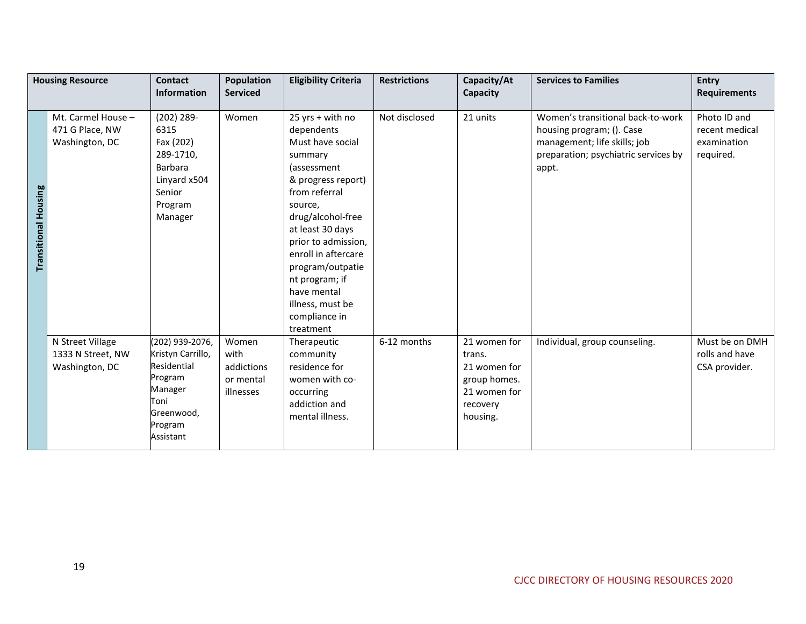|                             | <b>Housing Resource</b>                                 | <b>Contact</b><br><b>Information</b>                                                                                    | <b>Population</b><br><b>Serviced</b>                  | <b>Eligibility Criteria</b>                                                                                                                                                                                                                                                                                                  | <b>Restrictions</b> | Capacity/At<br>Capacity                                                                        | <b>Services to Families</b>                                                                                                                     | <b>Entry</b><br><b>Requirements</b>                        |
|-----------------------------|---------------------------------------------------------|-------------------------------------------------------------------------------------------------------------------------|-------------------------------------------------------|------------------------------------------------------------------------------------------------------------------------------------------------------------------------------------------------------------------------------------------------------------------------------------------------------------------------------|---------------------|------------------------------------------------------------------------------------------------|-------------------------------------------------------------------------------------------------------------------------------------------------|------------------------------------------------------------|
| <b>Transitional Housing</b> | Mt. Carmel House -<br>471 G Place, NW<br>Washington, DC | $(202) 289 -$<br>6315<br>Fax (202)<br>289-1710,<br><b>Barbara</b><br>Linyard x504<br>Senior<br>Program<br>Manager       | Women                                                 | 25 yrs + with no<br>dependents<br>Must have social<br>summary<br>(assessment<br>& progress report)<br>from referral<br>source,<br>drug/alcohol-free<br>at least 30 days<br>prior to admission,<br>enroll in aftercare<br>program/outpatie<br>nt program; if<br>have mental<br>illness, must be<br>compliance in<br>treatment | Not disclosed       | 21 units                                                                                       | Women's transitional back-to-work<br>housing program; (). Case<br>management; life skills; job<br>preparation; psychiatric services by<br>appt. | Photo ID and<br>recent medical<br>examination<br>required. |
|                             | N Street Village<br>1333 N Street, NW<br>Washington, DC | (202) 939-2076,<br>Kristyn Carrillo,<br>Residential<br>Program<br>Manager<br>Toni<br>Greenwood,<br>Program<br>Assistant | Women<br>with<br>addictions<br>or mental<br>illnesses | Therapeutic<br>community<br>residence for<br>women with co-<br>occurring<br>addiction and<br>mental illness.                                                                                                                                                                                                                 | 6-12 months         | 21 women for<br>trans.<br>21 women for<br>group homes.<br>21 women for<br>recovery<br>housing. | Individual, group counseling.                                                                                                                   | Must be on DMH<br>rolls and have<br>CSA provider.          |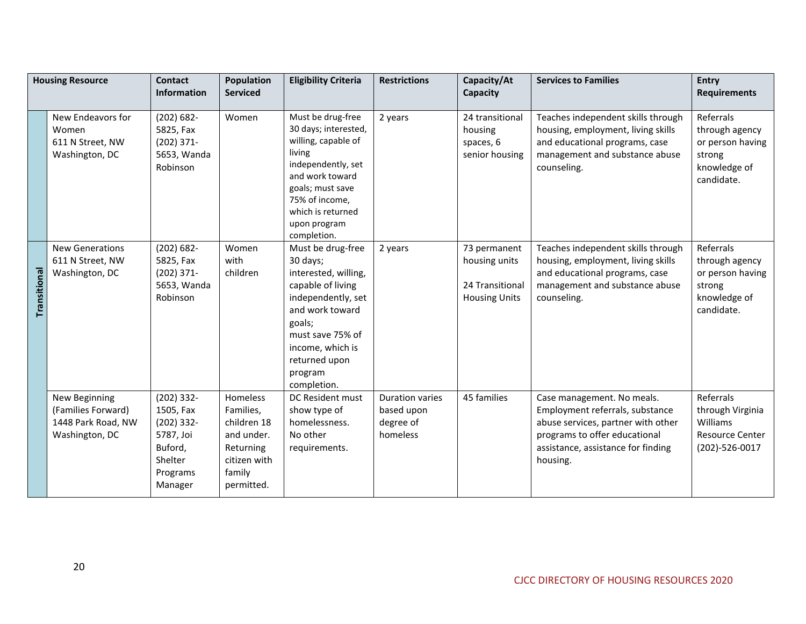|              | <b>Housing Resource</b>                                                     | <b>Contact</b><br><b>Information</b>                                                                | <b>Population</b><br><b>Serviced</b>                                                                    | <b>Eligibility Criteria</b>                                                                                                                                                                                      | <b>Restrictions</b>                                           | Capacity/At<br>Capacity                                                  | <b>Services to Families</b>                                                                                                                                                            | <b>Entry</b><br><b>Requirements</b>                                                     |
|--------------|-----------------------------------------------------------------------------|-----------------------------------------------------------------------------------------------------|---------------------------------------------------------------------------------------------------------|------------------------------------------------------------------------------------------------------------------------------------------------------------------------------------------------------------------|---------------------------------------------------------------|--------------------------------------------------------------------------|----------------------------------------------------------------------------------------------------------------------------------------------------------------------------------------|-----------------------------------------------------------------------------------------|
|              | New Endeavors for<br>Women<br>611 N Street, NW<br>Washington, DC            | $(202) 682 -$<br>5825, Fax<br>$(202)$ 371-<br>5653, Wanda<br>Robinson                               | Women                                                                                                   | Must be drug-free<br>30 days; interested,<br>willing, capable of<br>living<br>independently, set<br>and work toward<br>goals; must save<br>75% of income,                                                        | 2 years                                                       | 24 transitional<br>housing<br>spaces, 6<br>senior housing                | Teaches independent skills through<br>housing, employment, living skills<br>and educational programs, case<br>management and substance abuse<br>counseling.                            | Referrals<br>through agency<br>or person having<br>strong<br>knowledge of<br>candidate. |
|              |                                                                             |                                                                                                     |                                                                                                         | which is returned<br>upon program<br>completion.                                                                                                                                                                 |                                                               |                                                                          |                                                                                                                                                                                        |                                                                                         |
| Transitional | <b>New Generations</b><br>611 N Street, NW<br>Washington, DC                | $(202) 682 -$<br>5825, Fax<br>$(202)$ 371-<br>5653, Wanda<br>Robinson                               | Women<br>with<br>children                                                                               | Must be drug-free<br>30 days;<br>interested, willing,<br>capable of living<br>independently, set<br>and work toward<br>goals;<br>must save 75% of<br>income, which is<br>returned upon<br>program<br>completion. | 2 years                                                       | 73 permanent<br>housing units<br>24 Transitional<br><b>Housing Units</b> | Teaches independent skills through<br>housing, employment, living skills<br>and educational programs, case<br>management and substance abuse<br>counseling.                            | Referrals<br>through agency<br>or person having<br>strong<br>knowledge of<br>candidate. |
|              | New Beginning<br>(Families Forward)<br>1448 Park Road, NW<br>Washington, DC | $(202)$ 332-<br>1505, Fax<br>$(202)$ 332-<br>5787, Joi<br>Buford,<br>Shelter<br>Programs<br>Manager | Homeless<br>Families,<br>children 18<br>and under.<br>Returning<br>citizen with<br>family<br>permitted. | DC Resident must<br>show type of<br>homelessness.<br>No other<br>requirements.                                                                                                                                   | <b>Duration varies</b><br>based upon<br>degree of<br>homeless | 45 families                                                              | Case management. No meals.<br>Employment referrals, substance<br>abuse services, partner with other<br>programs to offer educational<br>assistance, assistance for finding<br>housing. | Referrals<br>through Virginia<br>Williams<br><b>Resource Center</b><br>(202)-526-0017   |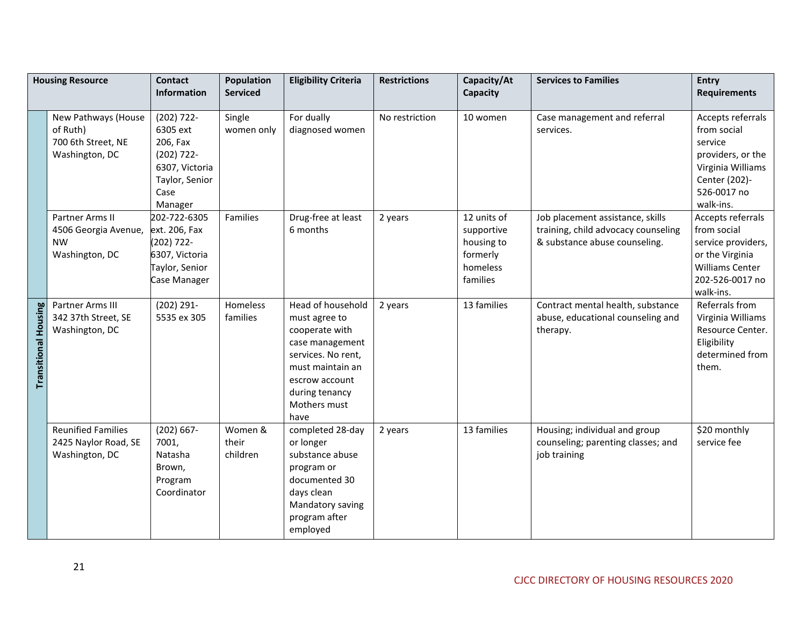|                             | <b>Housing Resource</b>                                                 | <b>Contact</b><br><b>Information</b>                                                                         | <b>Population</b><br><b>Serviced</b> | <b>Eligibility Criteria</b>                                                                                                                                                   | <b>Restrictions</b> | Capacity/At<br>Capacity                                                     | <b>Services to Families</b>                                                                              | <b>Entry</b><br><b>Requirements</b>                                                                                                |
|-----------------------------|-------------------------------------------------------------------------|--------------------------------------------------------------------------------------------------------------|--------------------------------------|-------------------------------------------------------------------------------------------------------------------------------------------------------------------------------|---------------------|-----------------------------------------------------------------------------|----------------------------------------------------------------------------------------------------------|------------------------------------------------------------------------------------------------------------------------------------|
|                             |                                                                         |                                                                                                              |                                      |                                                                                                                                                                               |                     |                                                                             |                                                                                                          |                                                                                                                                    |
|                             | New Pathways (House<br>of Ruth)<br>700 6th Street, NE<br>Washington, DC | $(202) 722 -$<br>6305 ext<br>206, Fax<br>$(202)$ 722-<br>6307, Victoria<br>Taylor, Senior<br>Case<br>Manager | Single<br>women only                 | For dually<br>diagnosed women                                                                                                                                                 | No restriction      | 10 women                                                                    | Case management and referral<br>services.                                                                | Accepts referrals<br>from social<br>service<br>providers, or the<br>Virginia Williams<br>Center (202)-<br>526-0017 no<br>walk-ins. |
|                             | Partner Arms II<br>4506 Georgia Avenue,<br><b>NW</b><br>Washington, DC  | 202-722-6305<br>ext. 206, Fax<br>(202) 722-<br>6307, Victoria<br>Taylor, Senior<br>Case Manager              | Families                             | Drug-free at least<br>6 months                                                                                                                                                | 2 years             | 12 units of<br>supportive<br>housing to<br>formerly<br>homeless<br>families | Job placement assistance, skills<br>training, child advocacy counseling<br>& substance abuse counseling. | Accepts referrals<br>from social<br>service providers,<br>or the Virginia<br>Williams Center<br>202-526-0017 no<br>walk-ins.       |
| <b>Transitional Housing</b> | Partner Arms III<br>342 37th Street, SE<br>Washington, DC               | $(202) 291 -$<br>5535 ex 305                                                                                 | Homeless<br>families                 | Head of household<br>must agree to<br>cooperate with<br>case management<br>services. No rent,<br>must maintain an<br>escrow account<br>during tenancy<br>Mothers must<br>have | 2 years             | 13 families                                                                 | Contract mental health, substance<br>abuse, educational counseling and<br>therapy.                       | Referrals from<br>Virginia Williams<br>Resource Center.<br>Eligibility<br>determined from<br>them.                                 |
|                             | <b>Reunified Families</b><br>2425 Naylor Road, SE<br>Washington, DC     | $(202) 667 -$<br>7001,<br>Natasha<br>Brown,<br>Program<br>Coordinator                                        | Women &<br>their<br>children         | completed 28-day<br>or longer<br>substance abuse<br>program or<br>documented 30<br>days clean<br>Mandatory saving<br>program after<br>employed                                | 2 years             | 13 families                                                                 | Housing; individual and group<br>counseling; parenting classes; and<br>job training                      | \$20 monthly<br>service fee                                                                                                        |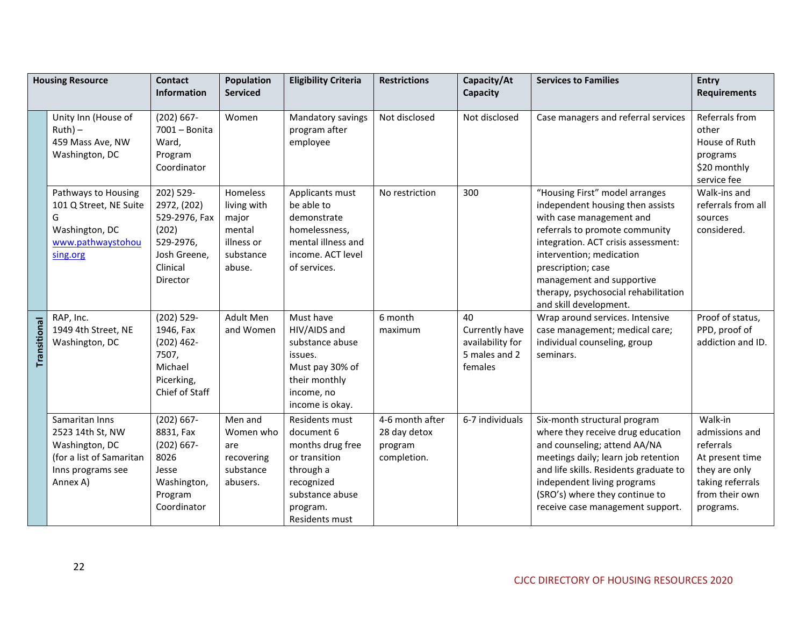|              | <b>Housing Resource</b>                                                                                           | <b>Contact</b><br><b>Information</b>                                                                    | <b>Population</b><br><b>Serviced</b>                                            | <b>Eligibility Criteria</b>                                                                                                                   | <b>Restrictions</b>                                       | Capacity/At<br>Capacity                                              | <b>Services to Families</b>                                                                                                                                                                                                                                                                                              | <b>Entry</b><br><b>Requirements</b>                                                                                           |
|--------------|-------------------------------------------------------------------------------------------------------------------|---------------------------------------------------------------------------------------------------------|---------------------------------------------------------------------------------|-----------------------------------------------------------------------------------------------------------------------------------------------|-----------------------------------------------------------|----------------------------------------------------------------------|--------------------------------------------------------------------------------------------------------------------------------------------------------------------------------------------------------------------------------------------------------------------------------------------------------------------------|-------------------------------------------------------------------------------------------------------------------------------|
|              | Unity Inn (House of<br>$Ruth$ ) –<br>459 Mass Ave, NW<br>Washington, DC                                           | $(202) 667 -$<br>$7001 -$ Bonita<br>Ward,<br>Program<br>Coordinator                                     | Women                                                                           | Mandatory savings<br>program after<br>employee                                                                                                | Not disclosed                                             | Not disclosed                                                        | Case managers and referral services                                                                                                                                                                                                                                                                                      | Referrals from<br>other<br>House of Ruth<br>programs<br>\$20 monthly<br>service fee                                           |
|              | Pathways to Housing<br>101 Q Street, NE Suite<br>G<br>Washington, DC<br>www.pathwaystohou<br>sing.org             | 202) 529-<br>2972, (202)<br>529-2976, Fax<br>(202)<br>529-2976,<br>Josh Greene,<br>Clinical<br>Director | Homeless<br>living with<br>major<br>mental<br>illness or<br>substance<br>abuse. | Applicants must<br>be able to<br>demonstrate<br>homelessness,<br>mental illness and<br>income. ACT level<br>of services.                      | No restriction                                            | 300                                                                  | "Housing First" model arranges<br>independent housing then assists<br>with case management and<br>referrals to promote community<br>integration. ACT crisis assessment:<br>intervention; medication<br>prescription; case<br>management and supportive<br>therapy, psychosocial rehabilitation<br>and skill development. | Walk-ins and<br>referrals from all<br>sources<br>considered.                                                                  |
| Transitional | RAP, Inc.<br>1949 4th Street, NE<br>Washington, DC                                                                | $(202)$ 529-<br>1946, Fax<br>$(202)$ 462-<br>7507,<br>Michael<br>Picerking,<br>Chief of Staff           | Adult Men<br>and Women                                                          | Must have<br>HIV/AIDS and<br>substance abuse<br>issues.<br>Must pay 30% of<br>their monthly<br>income, no<br>income is okay.                  | 6 month<br>maximum                                        | 40<br>Currently have<br>availability for<br>5 males and 2<br>females | Wrap around services. Intensive<br>case management; medical care;<br>individual counseling, group<br>seminars.                                                                                                                                                                                                           | Proof of status,<br>PPD, proof of<br>addiction and ID.                                                                        |
|              | Samaritan Inns<br>2523 14th St, NW<br>Washington, DC<br>(for a list of Samaritan<br>Inns programs see<br>Annex A) | $(202) 667 -$<br>8831, Fax<br>$(202) 667 -$<br>8026<br>Jesse<br>Washington,<br>Program<br>Coordinator   | Men and<br>Women who<br>are<br>recovering<br>substance<br>abusers.              | Residents must<br>document 6<br>months drug free<br>or transition<br>through a<br>recognized<br>substance abuse<br>program.<br>Residents must | 4-6 month after<br>28 day detox<br>program<br>completion. | 6-7 individuals                                                      | Six-month structural program<br>where they receive drug education<br>and counseling; attend AA/NA<br>meetings daily; learn job retention<br>and life skills. Residents graduate to<br>independent living programs<br>(SRO's) where they continue to<br>receive case management support.                                  | Walk-in<br>admissions and<br>referrals<br>At present time<br>they are only<br>taking referrals<br>from their own<br>programs. |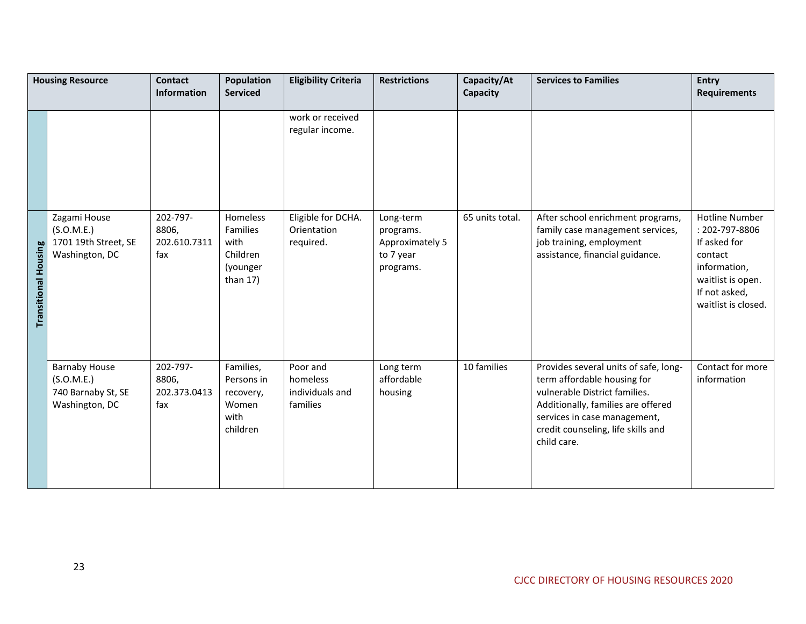|                             | <b>Housing Resource</b>                                                    | <b>Contact</b><br><b>Information</b>     | Population<br><b>Serviced</b>                                      | <b>Eligibility Criteria</b>                         | <b>Restrictions</b>                                                 | Capacity/At<br>Capacity | <b>Services to Families</b>                                                                                                                                                                                                      | <b>Entry</b><br><b>Requirements</b>                                                                                                             |
|-----------------------------|----------------------------------------------------------------------------|------------------------------------------|--------------------------------------------------------------------|-----------------------------------------------------|---------------------------------------------------------------------|-------------------------|----------------------------------------------------------------------------------------------------------------------------------------------------------------------------------------------------------------------------------|-------------------------------------------------------------------------------------------------------------------------------------------------|
|                             |                                                                            |                                          |                                                                    | work or received<br>regular income.                 |                                                                     |                         |                                                                                                                                                                                                                                  |                                                                                                                                                 |
| <b>Transitional Housing</b> | Zagami House<br>(S.O.M.E.)<br>1701 19th Street, SE<br>Washington, DC       | 202-797-<br>8806,<br>202.610.7311<br>fax | Homeless<br>Families<br>with<br>Children<br>(younger<br>than $17)$ | Eligible for DCHA.<br>Orientation<br>required.      | Long-term<br>programs.<br>Approximately 5<br>to 7 year<br>programs. | 65 units total.         | After school enrichment programs,<br>family case management services,<br>job training, employment<br>assistance, financial guidance.                                                                                             | <b>Hotline Number</b><br>: 202-797-8806<br>If asked for<br>contact<br>information,<br>waitlist is open.<br>If not asked,<br>waitlist is closed. |
|                             | <b>Barnaby House</b><br>(S.O.M.E.)<br>740 Barnaby St, SE<br>Washington, DC | 202-797-<br>8806,<br>202.373.0413<br>fax | Families,<br>Persons in<br>recovery,<br>Women<br>with<br>children  | Poor and<br>homeless<br>individuals and<br>families | Long term<br>affordable<br>housing                                  | 10 families             | Provides several units of safe, long-<br>term affordable housing for<br>vulnerable District families.<br>Additionally, families are offered<br>services in case management,<br>credit counseling, life skills and<br>child care. | Contact for more<br>information                                                                                                                 |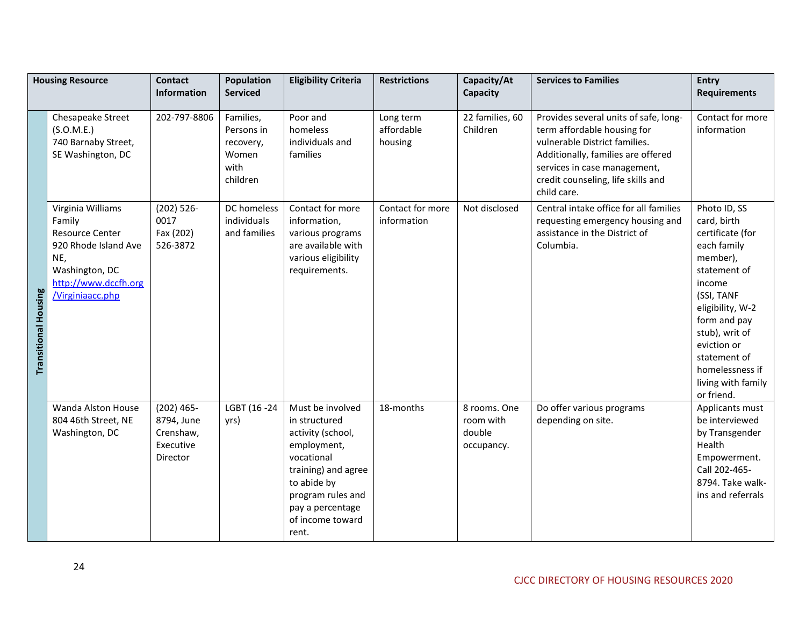|                             | <b>Housing Resource</b>                                                                                                                            | <b>Contact</b><br><b>Information</b>                             | <b>Population</b><br><b>Serviced</b>                              | <b>Eligibility Criteria</b>                                                                                                                                                                     | <b>Restrictions</b>                | Capacity/At<br>Capacity                           | <b>Services to Families</b>                                                                                                                                                                                                      | <b>Entry</b><br><b>Requirements</b>                                                                                                                                                                                                                            |
|-----------------------------|----------------------------------------------------------------------------------------------------------------------------------------------------|------------------------------------------------------------------|-------------------------------------------------------------------|-------------------------------------------------------------------------------------------------------------------------------------------------------------------------------------------------|------------------------------------|---------------------------------------------------|----------------------------------------------------------------------------------------------------------------------------------------------------------------------------------------------------------------------------------|----------------------------------------------------------------------------------------------------------------------------------------------------------------------------------------------------------------------------------------------------------------|
|                             | Chesapeake Street<br>(S.O.M.E.)<br>740 Barnaby Street,<br>SE Washington, DC                                                                        | 202-797-8806                                                     | Families,<br>Persons in<br>recovery,<br>Women<br>with<br>children | Poor and<br>homeless<br>individuals and<br>families                                                                                                                                             | Long term<br>affordable<br>housing | 22 families, 60<br>Children                       | Provides several units of safe, long-<br>term affordable housing for<br>vulnerable District families.<br>Additionally, families are offered<br>services in case management,<br>credit counseling, life skills and<br>child care. | Contact for more<br>information                                                                                                                                                                                                                                |
| <b>Transitional Housing</b> | Virginia Williams<br>Family<br><b>Resource Center</b><br>920 Rhode Island Ave<br>NE,<br>Washington, DC<br>http://www.dccfh.org<br>/Virginiaacc.php | $(202) 526 -$<br>0017<br>Fax (202)<br>526-3872                   | DC homeless<br>individuals<br>and families                        | Contact for more<br>information,<br>various programs<br>are available with<br>various eligibility<br>requirements.                                                                              | Contact for more<br>information    | Not disclosed                                     | Central intake office for all families<br>requesting emergency housing and<br>assistance in the District of<br>Columbia.                                                                                                         | Photo ID, SS<br>card, birth<br>certificate (for<br>each family<br>member),<br>statement of<br>income<br>(SSI, TANF<br>eligibility, W-2<br>form and pay<br>stub), writ of<br>eviction or<br>statement of<br>homelessness if<br>living with family<br>or friend. |
|                             | Wanda Alston House<br>804 46th Street, NE<br>Washington, DC                                                                                        | $(202)$ 465-<br>8794, June<br>Crenshaw,<br>Executive<br>Director | LGBT (16 -24<br>yrs)                                              | Must be involved<br>in structured<br>activity (school,<br>employment,<br>vocational<br>training) and agree<br>to abide by<br>program rules and<br>pay a percentage<br>of income toward<br>rent. | 18-months                          | 8 rooms. One<br>room with<br>double<br>occupancy. | Do offer various programs<br>depending on site.                                                                                                                                                                                  | Applicants must<br>be interviewed<br>by Transgender<br>Health<br>Empowerment.<br>Call 202-465-<br>8794. Take walk-<br>ins and referrals                                                                                                                        |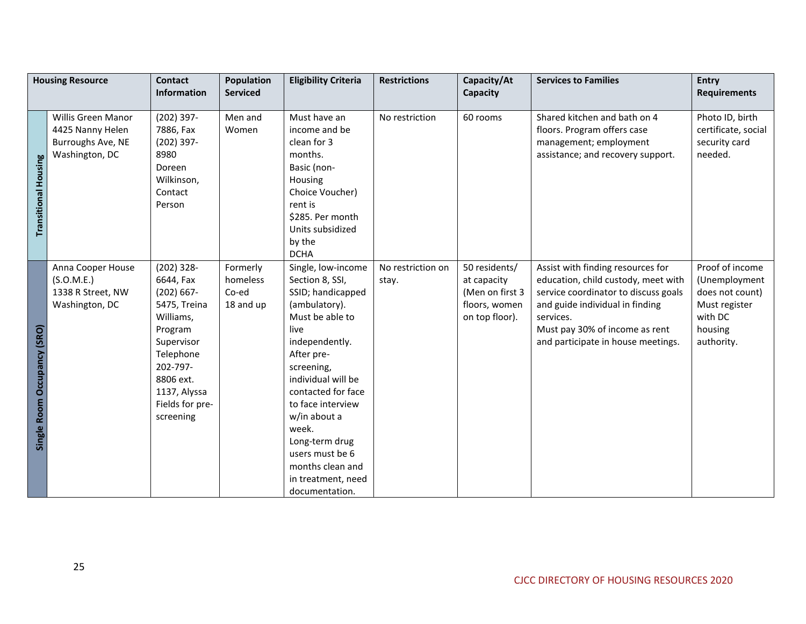|                             | <b>Housing Resource</b>                                                       | <b>Contact</b><br><b>Information</b>                                                                                                                                                   | <b>Population</b><br><b>Serviced</b>       | <b>Eligibility Criteria</b>                                                                                                                                                                                                                                                                                                                     | <b>Restrictions</b>        | Capacity/At<br>Capacity                                                            | <b>Services to Families</b>                                                                                                                                                                                                              | <b>Entry</b><br><b>Requirements</b>                                                                      |
|-----------------------------|-------------------------------------------------------------------------------|----------------------------------------------------------------------------------------------------------------------------------------------------------------------------------------|--------------------------------------------|-------------------------------------------------------------------------------------------------------------------------------------------------------------------------------------------------------------------------------------------------------------------------------------------------------------------------------------------------|----------------------------|------------------------------------------------------------------------------------|------------------------------------------------------------------------------------------------------------------------------------------------------------------------------------------------------------------------------------------|----------------------------------------------------------------------------------------------------------|
| <b>Transitional Housing</b> | Willis Green Manor<br>4425 Nanny Helen<br>Burroughs Ave, NE<br>Washington, DC | $(202)$ 397-<br>7886, Fax<br>$(202)$ 397-<br>8980<br>Doreen<br>Wilkinson,<br>Contact<br>Person                                                                                         | Men and<br>Women                           | Must have an<br>income and be<br>clean for 3<br>months.<br>Basic (non-<br>Housing<br>Choice Voucher)<br>rent is<br>\$285. Per month<br>Units subsidized<br>by the<br><b>DCHA</b>                                                                                                                                                                | No restriction             | 60 rooms                                                                           | Shared kitchen and bath on 4<br>floors. Program offers case<br>management; employment<br>assistance; and recovery support.                                                                                                               | Photo ID, birth<br>certificate, social<br>security card<br>needed.                                       |
| Single Room Occupancy (SRO) | Anna Cooper House<br>(S.O.M.E.)<br>1338 R Street, NW<br>Washington, DC        | $(202)$ 328-<br>6644, Fax<br>$(202) 667 -$<br>5475, Treina<br>Williams,<br>Program<br>Supervisor<br>Telephone<br>202-797-<br>8806 ext.<br>1137, Alyssa<br>Fields for pre-<br>screening | Formerly<br>homeless<br>Co-ed<br>18 and up | Single, low-income<br>Section 8, SSI,<br>SSID; handicapped<br>(ambulatory).<br>Must be able to<br>live<br>independently.<br>After pre-<br>screening,<br>individual will be<br>contacted for face<br>to face interview<br>w/in about a<br>week.<br>Long-term drug<br>users must be 6<br>months clean and<br>in treatment, need<br>documentation. | No restriction on<br>stay. | 50 residents/<br>at capacity<br>(Men on first 3<br>floors, women<br>on top floor). | Assist with finding resources for<br>education, child custody, meet with<br>service coordinator to discuss goals<br>and guide individual in finding<br>services.<br>Must pay 30% of income as rent<br>and participate in house meetings. | Proof of income<br>(Unemployment<br>does not count)<br>Must register<br>with DC<br>housing<br>authority. |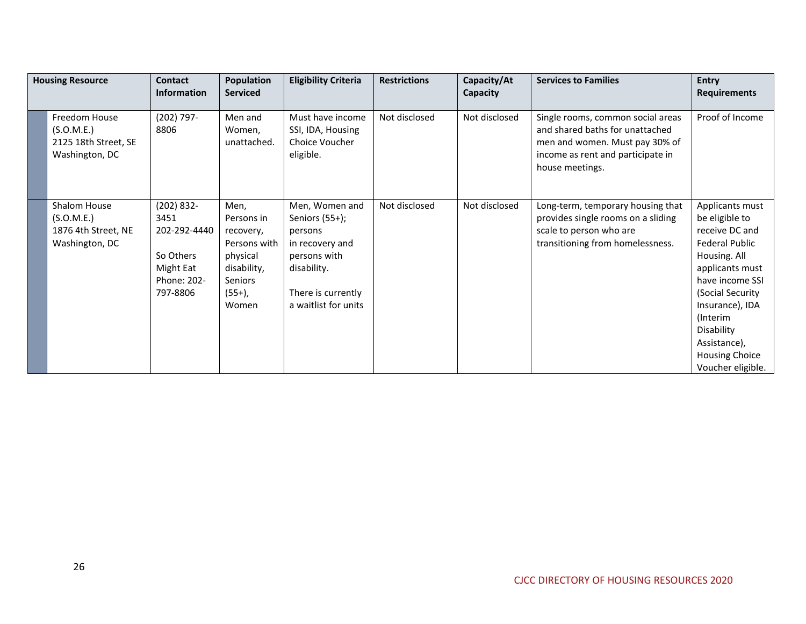| <b>Housing Resource</b> |                                                                       | <b>Contact</b><br><b>Information</b>                                                    | <b>Population</b><br><b>Serviced</b>                                                                               | <b>Eligibility Criteria</b>                                                                                                                    | <b>Restrictions</b> | Capacity/At<br>Capacity | <b>Services to Families</b>                                                                                                                                    | <b>Entry</b><br><b>Requirements</b>                                                                                                                                                                                                                               |
|-------------------------|-----------------------------------------------------------------------|-----------------------------------------------------------------------------------------|--------------------------------------------------------------------------------------------------------------------|------------------------------------------------------------------------------------------------------------------------------------------------|---------------------|-------------------------|----------------------------------------------------------------------------------------------------------------------------------------------------------------|-------------------------------------------------------------------------------------------------------------------------------------------------------------------------------------------------------------------------------------------------------------------|
|                         | Freedom House<br>(S.O.M.E.)<br>2125 18th Street, SE<br>Washington, DC | (202) 797-<br>8806                                                                      | Men and<br>Women,<br>unattached.                                                                                   | Must have income<br>SSI, IDA, Housing<br>Choice Voucher<br>eligible.                                                                           | Not disclosed       | Not disclosed           | Single rooms, common social areas<br>and shared baths for unattached<br>men and women. Must pay 30% of<br>income as rent and participate in<br>house meetings. | Proof of Income                                                                                                                                                                                                                                                   |
|                         | Shalom House<br>(S.O.M.E.)<br>1876 4th Street, NE<br>Washington, DC   | (202) 832-<br>3451<br>202-292-4440<br>So Others<br>Might Eat<br>Phone: 202-<br>797-8806 | Men,<br>Persons in<br>recovery,<br>Persons with<br>physical<br>disability,<br><b>Seniors</b><br>$(55+)$ ,<br>Women | Men, Women and<br>Seniors $(55+)$ ;<br>persons<br>in recovery and<br>persons with<br>disability.<br>There is currently<br>a waitlist for units | Not disclosed       | Not disclosed           | Long-term, temporary housing that<br>provides single rooms on a sliding<br>scale to person who are<br>transitioning from homelessness.                         | Applicants must<br>be eligible to<br>receive DC and<br><b>Federal Public</b><br>Housing. All<br>applicants must<br>have income SSI<br>(Social Security<br>Insurance), IDA<br>(Interim<br>Disability<br>Assistance),<br><b>Housing Choice</b><br>Voucher eligible. |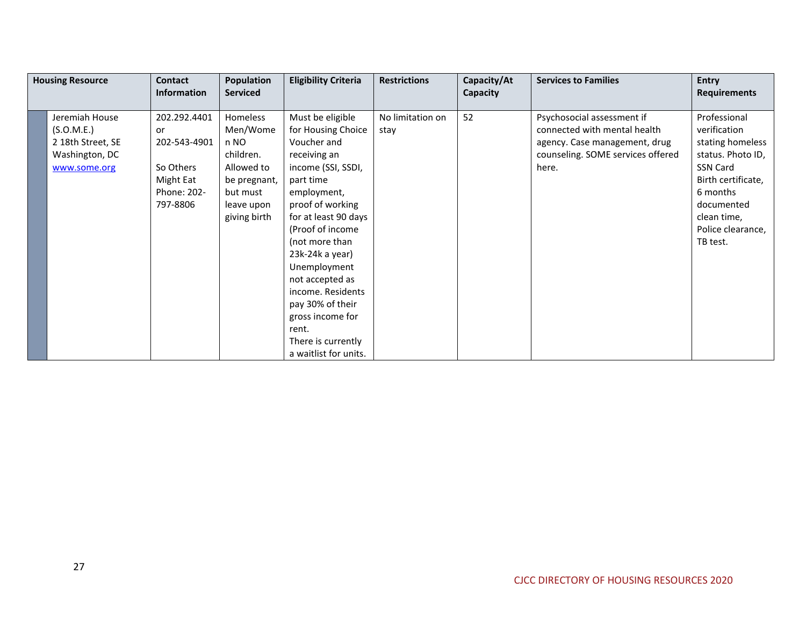| <b>Housing Resource</b> |                                                                                     | Contact                                                                                 | <b>Population</b>                                                                                                 | <b>Eligibility Criteria</b>                                                                                                                                                                                                                                                                                                                                                          | <b>Restrictions</b>      | Capacity/At | <b>Services to Families</b>                                                                                                               | <b>Entry</b>                                                                                                                                                                      |
|-------------------------|-------------------------------------------------------------------------------------|-----------------------------------------------------------------------------------------|-------------------------------------------------------------------------------------------------------------------|--------------------------------------------------------------------------------------------------------------------------------------------------------------------------------------------------------------------------------------------------------------------------------------------------------------------------------------------------------------------------------------|--------------------------|-------------|-------------------------------------------------------------------------------------------------------------------------------------------|-----------------------------------------------------------------------------------------------------------------------------------------------------------------------------------|
|                         |                                                                                     | <b>Information</b>                                                                      | <b>Serviced</b>                                                                                                   |                                                                                                                                                                                                                                                                                                                                                                                      |                          | Capacity    |                                                                                                                                           | <b>Requirements</b>                                                                                                                                                               |
|                         | Jeremiah House<br>(S.O.M.E.)<br>2 18th Street, SE<br>Washington, DC<br>www.some.org | 202.292.4401<br>or<br>202-543-4901<br>So Others<br>Might Eat<br>Phone: 202-<br>797-8806 | Homeless<br>Men/Wome<br>n NO<br>children.<br>Allowed to<br>be pregnant,<br>but must<br>leave upon<br>giving birth | Must be eligible<br>for Housing Choice<br>Voucher and<br>receiving an<br>income (SSI, SSDI,<br>part time<br>employment,<br>proof of working<br>for at least 90 days<br>(Proof of income<br>(not more than<br>23k-24k a year)<br>Unemployment<br>not accepted as<br>income. Residents<br>pay 30% of their<br>gross income for<br>rent.<br>There is currently<br>a waitlist for units. | No limitation on<br>stay | 52          | Psychosocial assessment if<br>connected with mental health<br>agency. Case management, drug<br>counseling. SOME services offered<br>here. | Professional<br>verification<br>stating homeless<br>status. Photo ID,<br>SSN Card<br>Birth certificate,<br>6 months<br>documented<br>clean time,<br>Police clearance,<br>TB test. |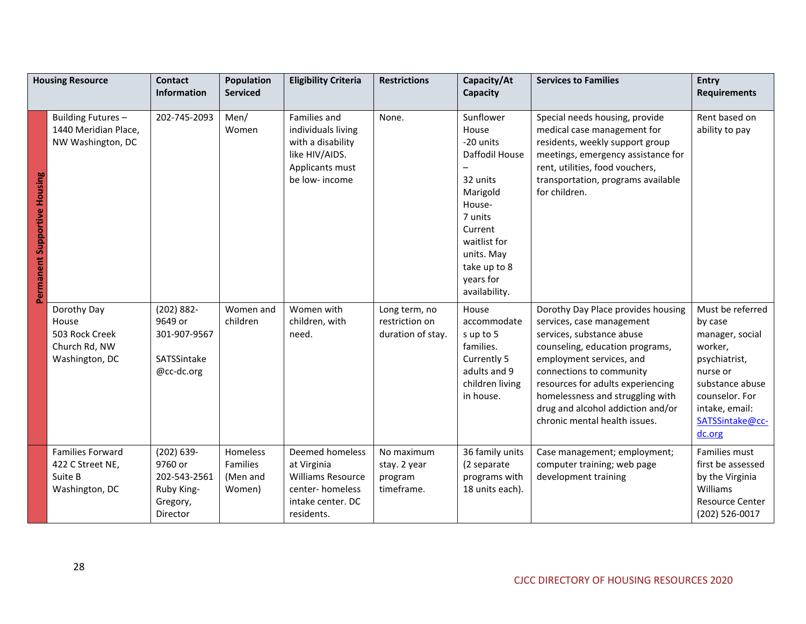| <b>Housing Resource</b>      |                                                                           | <b>Contact</b>                                                                 | <b>Population</b>                                 | <b>Eligibility Criteria</b>                                                                                      | <b>Restrictions</b>                                  | Capacity/At                                                                                                                                                                           | <b>Services to Families</b>                                                                                                                                                                                                                                                                                                            | <b>Entry</b>                                                                                                                                                               |
|------------------------------|---------------------------------------------------------------------------|--------------------------------------------------------------------------------|---------------------------------------------------|------------------------------------------------------------------------------------------------------------------|------------------------------------------------------|---------------------------------------------------------------------------------------------------------------------------------------------------------------------------------------|----------------------------------------------------------------------------------------------------------------------------------------------------------------------------------------------------------------------------------------------------------------------------------------------------------------------------------------|----------------------------------------------------------------------------------------------------------------------------------------------------------------------------|
|                              |                                                                           | <b>Information</b>                                                             | <b>Serviced</b>                                   |                                                                                                                  |                                                      | Capacity                                                                                                                                                                              |                                                                                                                                                                                                                                                                                                                                        | <b>Requirements</b>                                                                                                                                                        |
| Permanent Supportive Housing | Building Futures -<br>1440 Meridian Place,<br>NW Washington, DC           | 202-745-2093                                                                   | Men/<br>Women                                     | Families and<br>individuals living<br>with a disability<br>like HIV/AIDS.<br>Applicants must<br>be low- income   | None.                                                | Sunflower<br>House<br>-20 units<br>Daffodil House<br>32 units<br>Marigold<br>House-<br>7 units<br>Current<br>waitlist for<br>units. May<br>take up to 8<br>years for<br>availability. | Special needs housing, provide<br>medical case management for<br>residents, weekly support group<br>meetings, emergency assistance for<br>rent, utilities, food vouchers,<br>transportation, programs available<br>for children.                                                                                                       | Rent based on<br>ability to pay                                                                                                                                            |
|                              | Dorothy Day<br>House<br>503 Rock Creek<br>Church Rd, NW<br>Washington, DC | $(202) 882 -$<br>9649 or<br>301-907-9567<br>SATSSintake<br>@cc-dc.org          | Women and<br>children                             | Women with<br>children, with<br>need.                                                                            | Long term, no<br>restriction on<br>duration of stay. | House<br>accommodate<br>sup to 5<br>families.<br>Currently 5<br>adults and 9<br>children living<br>in house.                                                                          | Dorothy Day Place provides housing<br>services, case management<br>services, substance abuse<br>counseling, education programs,<br>employment services, and<br>connections to community<br>resources for adults experiencing<br>homelessness and struggling with<br>drug and alcohol addiction and/or<br>chronic mental health issues. | Must be referred<br>by case<br>manager, social<br>worker,<br>psychiatrist,<br>nurse or<br>substance abuse<br>counselor. For<br>intake, email:<br>SATSSintake@cc-<br>dc.org |
|                              | <b>Families Forward</b><br>422 C Street NE,<br>Suite B<br>Washington, DC  | $(202) 639 -$<br>9760 or<br>202-543-2561<br>Ruby King-<br>Gregory,<br>Director | Homeless<br><b>Families</b><br>(Men and<br>Women) | Deemed homeless<br>at Virginia<br><b>Williams Resource</b><br>center-homeless<br>intake center. DC<br>residents. | No maximum<br>stay. 2 year<br>program<br>timeframe.  | 36 family units<br>(2 separate<br>programs with<br>18 units each).                                                                                                                    | Case management; employment;<br>computer training; web page<br>development training                                                                                                                                                                                                                                                    | Families must<br>first be assessed<br>by the Virginia<br>Williams<br><b>Resource Center</b><br>(202) 526-0017                                                              |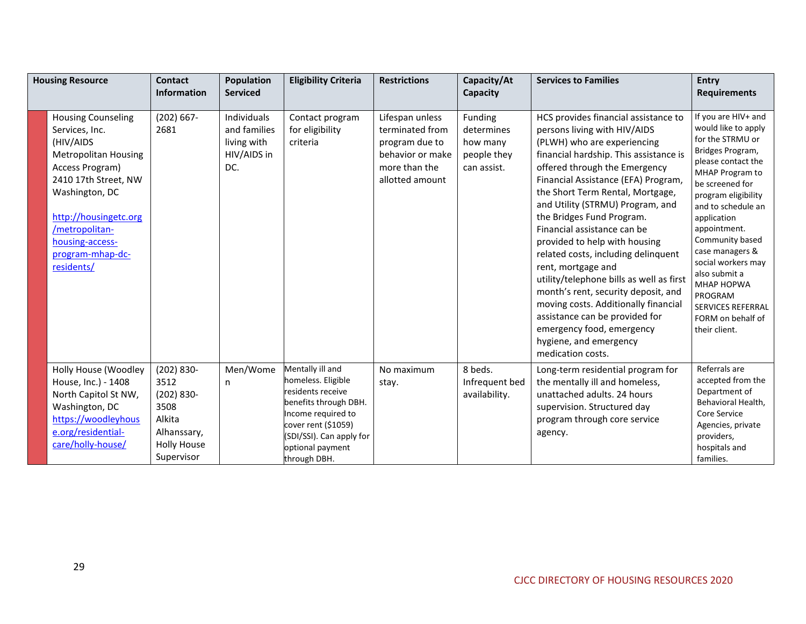| <b>Housing Resource</b> |                                                                                                                                                                                                                                                      | <b>Contact</b><br><b>Information</b>                                                                        | <b>Population</b><br><b>Serviced</b>                             | <b>Eligibility Criteria</b>                                                                                                                                                                       | <b>Restrictions</b>                                                                                          | Capacity/At<br>Capacity                                         | <b>Services to Families</b>                                                                                                                                                                                                                                                                                                                                                                                                                                                                                                                                                                                                                                                                      | <b>Entry</b><br><b>Requirements</b>                                                                                                                                                                                                                                                                                                                                                                       |
|-------------------------|------------------------------------------------------------------------------------------------------------------------------------------------------------------------------------------------------------------------------------------------------|-------------------------------------------------------------------------------------------------------------|------------------------------------------------------------------|---------------------------------------------------------------------------------------------------------------------------------------------------------------------------------------------------|--------------------------------------------------------------------------------------------------------------|-----------------------------------------------------------------|--------------------------------------------------------------------------------------------------------------------------------------------------------------------------------------------------------------------------------------------------------------------------------------------------------------------------------------------------------------------------------------------------------------------------------------------------------------------------------------------------------------------------------------------------------------------------------------------------------------------------------------------------------------------------------------------------|-----------------------------------------------------------------------------------------------------------------------------------------------------------------------------------------------------------------------------------------------------------------------------------------------------------------------------------------------------------------------------------------------------------|
|                         | <b>Housing Counseling</b><br>Services, Inc.<br>(HIV/AIDS<br><b>Metropolitan Housing</b><br>Access Program)<br>2410 17th Street, NW<br>Washington, DC<br>http://housingetc.org<br>/metropolitan-<br>housing-access-<br>program-mhap-dc-<br>residents/ | $(202) 667 -$<br>2681                                                                                       | Individuals<br>and families<br>living with<br>HIV/AIDS in<br>DC. | Contact program<br>for eligibility<br>criteria                                                                                                                                                    | Lifespan unless<br>terminated from<br>program due to<br>behavior or make<br>more than the<br>allotted amount | Funding<br>determines<br>how many<br>people they<br>can assist. | HCS provides financial assistance to<br>persons living with HIV/AIDS<br>(PLWH) who are experiencing<br>financial hardship. This assistance is<br>offered through the Emergency<br>Financial Assistance (EFA) Program,<br>the Short Term Rental, Mortgage,<br>and Utility (STRMU) Program, and<br>the Bridges Fund Program.<br>Financial assistance can be<br>provided to help with housing<br>related costs, including delinquent<br>rent, mortgage and<br>utility/telephone bills as well as first<br>month's rent, security deposit, and<br>moving costs. Additionally financial<br>assistance can be provided for<br>emergency food, emergency<br>hygiene, and emergency<br>medication costs. | If you are HIV+ and<br>would like to apply<br>for the STRMU or<br>Bridges Program,<br>please contact the<br>MHAP Program to<br>be screened for<br>program eligibility<br>and to schedule an<br>application<br>appointment.<br>Community based<br>case managers &<br>social workers may<br>also submit a<br><b>MHAP HOPWA</b><br>PROGRAM<br><b>SERVICES REFERRAL</b><br>FORM on behalf of<br>their client. |
|                         | Holly House (Woodley<br>House, Inc.) - 1408<br>North Capitol St NW,<br>Washington, DC<br>https://woodleyhous<br>e.org/residential-<br>care/holly-house/                                                                                              | $(202) 830 -$<br>3512<br>$(202) 830 -$<br>3508<br>Alkita<br>Alhanssary,<br><b>Holly House</b><br>Supervisor | Men/Wome<br>n                                                    | Mentally ill and<br>homeless. Eligible<br>residents receive<br>benefits through DBH.<br>Income required to<br>cover rent (\$1059)<br>(SDI/SSI). Can apply for<br>optional payment<br>through DBH. | No maximum<br>stay.                                                                                          | 8 beds.<br>Infrequent bed<br>availability.                      | Long-term residential program for<br>the mentally ill and homeless,<br>unattached adults, 24 hours<br>supervision. Structured day<br>program through core service<br>agency.                                                                                                                                                                                                                                                                                                                                                                                                                                                                                                                     | Referrals are<br>accepted from the<br>Department of<br>Behavioral Health,<br>Core Service<br>Agencies, private<br>providers,<br>hospitals and<br>families.                                                                                                                                                                                                                                                |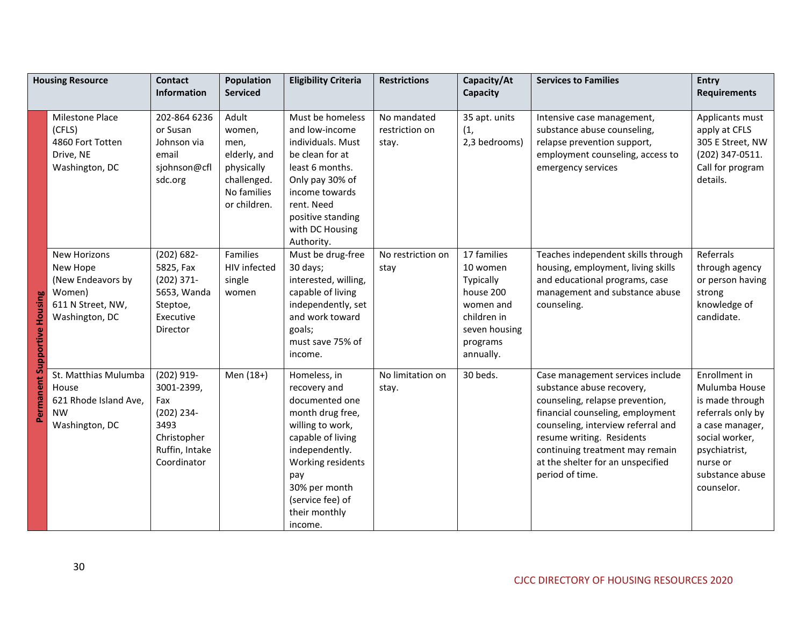|                              | <b>Housing Resource</b>                                                                        | <b>Contact</b><br><b>Information</b>                                                                  | <b>Population</b><br><b>Serviced</b>                                                                | <b>Eligibility Criteria</b>                                                                                                                                                                                                | <b>Restrictions</b>                    | Capacity/At<br>Capacity                                                                                                 | <b>Services to Families</b>                                                                                                                                                                                                                                                                        | Entry<br><b>Requirements</b>                                                                                                                                              |
|------------------------------|------------------------------------------------------------------------------------------------|-------------------------------------------------------------------------------------------------------|-----------------------------------------------------------------------------------------------------|----------------------------------------------------------------------------------------------------------------------------------------------------------------------------------------------------------------------------|----------------------------------------|-------------------------------------------------------------------------------------------------------------------------|----------------------------------------------------------------------------------------------------------------------------------------------------------------------------------------------------------------------------------------------------------------------------------------------------|---------------------------------------------------------------------------------------------------------------------------------------------------------------------------|
|                              | Milestone Place<br>(CFLS)<br>4860 Fort Totten<br>Drive, NE<br>Washington, DC                   | 202-864 6236<br>or Susan<br>Johnson via<br>email<br>sjohnson@cfl<br>sdc.org                           | Adult<br>women,<br>men,<br>elderly, and<br>physically<br>challenged.<br>No families<br>or children. | Must be homeless<br>and low-income<br>individuals. Must<br>be clean for at<br>least 6 months.<br>Only pay 30% of<br>income towards<br>rent. Need<br>positive standing<br>with DC Housing<br>Authority.                     | No mandated<br>restriction on<br>stay. | 35 apt. units<br>(1,<br>2,3 bedrooms)                                                                                   | Intensive case management,<br>substance abuse counseling,<br>relapse prevention support,<br>employment counseling, access to<br>emergency services                                                                                                                                                 | Applicants must<br>apply at CFLS<br>305 E Street, NW<br>(202) 347-0511.<br>Call for program<br>details.                                                                   |
| Permanent Supportive Housing | New Horizons<br>New Hope<br>(New Endeavors by<br>Women)<br>611 N Street, NW,<br>Washington, DC | $(202) 682 -$<br>5825, Fax<br>$(202)$ 371-<br>5653, Wanda<br>Steptoe,<br>Executive<br>Director        | Families<br>HIV infected<br>single<br>women                                                         | Must be drug-free<br>30 days;<br>interested, willing,<br>capable of living<br>independently, set<br>and work toward<br>goals;<br>must save 75% of<br>income.                                                               | No restriction on<br>stay              | 17 families<br>10 women<br>Typically<br>house 200<br>women and<br>children in<br>seven housing<br>programs<br>annually. | Teaches independent skills through<br>housing, employment, living skills<br>and educational programs, case<br>management and substance abuse<br>counseling.                                                                                                                                        | Referrals<br>through agency<br>or person having<br>strong<br>knowledge of<br>candidate.                                                                                   |
|                              | St. Matthias Mulumba<br>House<br>621 Rhode Island Ave,<br><b>NW</b><br>Washington, DC          | (202) 919-<br>3001-2399,<br>Fax<br>(202) 234-<br>3493<br>Christopher<br>Ruffin, Intake<br>Coordinator | Men (18+)                                                                                           | Homeless, in<br>recovery and<br>documented one<br>month drug free,<br>willing to work,<br>capable of living<br>independently.<br>Working residents<br>pay<br>30% per month<br>(service fee) of<br>their monthly<br>income. | No limitation on<br>stay.              | 30 beds.                                                                                                                | Case management services include<br>substance abuse recovery,<br>counseling, relapse prevention,<br>financial counseling, employment<br>counseling, interview referral and<br>resume writing. Residents<br>continuing treatment may remain<br>at the shelter for an unspecified<br>period of time. | Enrollment in<br>Mulumba House<br>is made through<br>referrals only by<br>a case manager,<br>social worker,<br>psychiatrist,<br>nurse or<br>substance abuse<br>counselor. |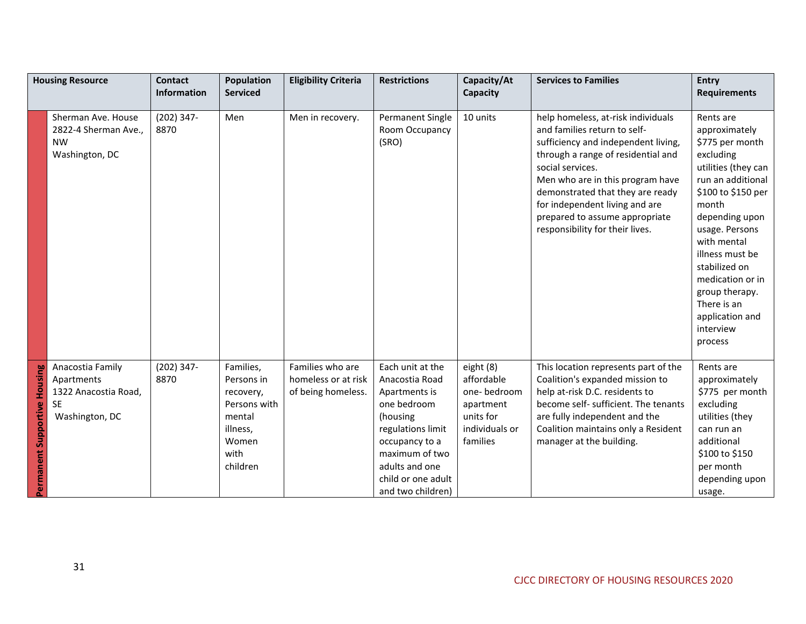|                                        | <b>Housing Resource</b>                                                               | <b>Contact</b>       | <b>Population</b>                                                                                       | <b>Eligibility Criteria</b>                                   | <b>Restrictions</b>                                                                                                                                                                                  | Capacity/At                                                                                    | <b>Services to Families</b>                                                                                                                                                                                                                                                                                                                        | <b>Entry</b>                                                                                                                                                                                                                                                                                                                 |
|----------------------------------------|---------------------------------------------------------------------------------------|----------------------|---------------------------------------------------------------------------------------------------------|---------------------------------------------------------------|------------------------------------------------------------------------------------------------------------------------------------------------------------------------------------------------------|------------------------------------------------------------------------------------------------|----------------------------------------------------------------------------------------------------------------------------------------------------------------------------------------------------------------------------------------------------------------------------------------------------------------------------------------------------|------------------------------------------------------------------------------------------------------------------------------------------------------------------------------------------------------------------------------------------------------------------------------------------------------------------------------|
|                                        |                                                                                       | Information          | <b>Serviced</b>                                                                                         |                                                               |                                                                                                                                                                                                      | Capacity                                                                                       |                                                                                                                                                                                                                                                                                                                                                    | <b>Requirements</b>                                                                                                                                                                                                                                                                                                          |
|                                        | Sherman Ave. House<br>2822-4 Sherman Ave.,<br><b>NW</b><br>Washington, DC             | $(202)$ 347-<br>8870 | Men                                                                                                     | Men in recovery.                                              | Permanent Single<br>Room Occupancy<br>(SRO)                                                                                                                                                          | 10 units                                                                                       | help homeless, at-risk individuals<br>and families return to self-<br>sufficiency and independent living,<br>through a range of residential and<br>social services.<br>Men who are in this program have<br>demonstrated that they are ready<br>for independent living and are<br>prepared to assume appropriate<br>responsibility for their lives. | Rents are<br>approximately<br>\$775 per month<br>excluding<br>utilities (they can<br>run an additional<br>\$100 to \$150 per<br>month<br>depending upon<br>usage. Persons<br>with mental<br>illness must be<br>stabilized on<br>medication or in<br>group therapy.<br>There is an<br>application and<br>interview<br>process |
| Housing<br>Supportive<br>ent.<br>Perma | Anacostia Family<br>Apartments<br>1322 Anacostia Road,<br><b>SE</b><br>Washington, DC | $(202)$ 347-<br>8870 | Families,<br>Persons in<br>recovery,<br>Persons with<br>mental<br>illness,<br>Women<br>with<br>children | Families who are<br>homeless or at risk<br>of being homeless. | Each unit at the<br>Anacostia Road<br>Apartments is<br>one bedroom<br>(housing<br>regulations limit<br>occupancy to a<br>maximum of two<br>adults and one<br>child or one adult<br>and two children) | eight (8)<br>affordable<br>one-bedroom<br>apartment<br>units for<br>individuals or<br>families | This location represents part of the<br>Coalition's expanded mission to<br>help at-risk D.C. residents to<br>become self- sufficient. The tenants<br>are fully independent and the<br>Coalition maintains only a Resident<br>manager at the building.                                                                                              | Rents are<br>approximately<br>\$775 per month<br>excluding<br>utilities (they<br>can run an<br>additional<br>\$100 to \$150<br>per month<br>depending upon<br>usage.                                                                                                                                                         |